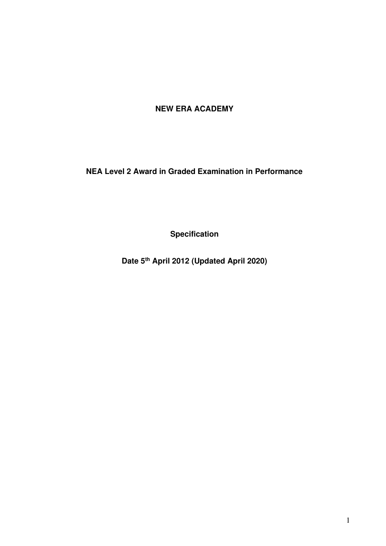# **NEW ERA ACADEMY**

**NEA Level 2 Award in Graded Examination in Performance** 

**Specification** 

**Date 5th April 2012 (Updated April 2020)**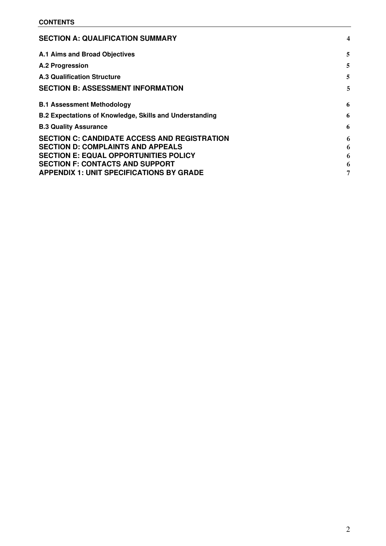| <b>SECTION A: QUALIFICATION SUMMARY</b>                        | 4 |
|----------------------------------------------------------------|---|
| A.1 Aims and Broad Objectives                                  | 5 |
| A.2 Progression                                                | 5 |
| <b>A.3 Qualification Structure</b>                             | 5 |
| <b>SECTION B: ASSESSMENT INFORMATION</b>                       | 5 |
| <b>B.1 Assessment Methodology</b>                              | 6 |
| <b>B.2 Expectations of Knowledge, Skills and Understanding</b> | 6 |
| <b>B.3 Quality Assurance</b>                                   | 6 |
| <b>SECTION C: CANDIDATE ACCESS AND REGISTRATION</b>            | 6 |
| <b>SECTION D: COMPLAINTS AND APPEALS</b>                       | 6 |
| <b>SECTION E: EQUAL OPPORTUNITIES POLICY</b>                   | 6 |
| <b>SECTION F: CONTACTS AND SUPPORT</b>                         | 6 |
| <b>APPENDIX 1: UNIT SPECIFICATIONS BY GRADE</b>                | 7 |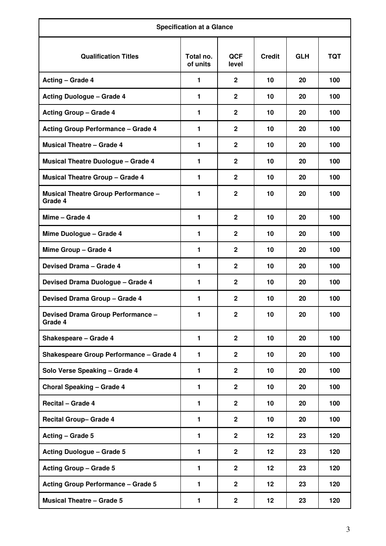| <b>Specification at a Glance</b>                      |                       |                     |               |            |            |  |
|-------------------------------------------------------|-----------------------|---------------------|---------------|------------|------------|--|
| <b>Qualification Titles</b>                           | Total no.<br>of units | <b>QCF</b><br>level | <b>Credit</b> | <b>GLH</b> | <b>TQT</b> |  |
| <b>Acting - Grade 4</b>                               | 1                     | $\mathbf{2}$        | 10            | 20         | 100        |  |
| <b>Acting Duologue - Grade 4</b>                      | $\mathbf{1}$          | $\mathbf{2}$        | 10            | 20         | 100        |  |
| <b>Acting Group - Grade 4</b>                         | 1                     | $\mathbf{2}$        | 10            | 20         | 100        |  |
| <b>Acting Group Performance - Grade 4</b>             | $\mathbf{1}$          | $\mathbf{2}$        | 10            | 20         | 100        |  |
| <b>Musical Theatre - Grade 4</b>                      | $\mathbf{1}$          | $\mathbf{2}$        | 10            | 20         | 100        |  |
| <b>Musical Theatre Duologue - Grade 4</b>             | 1                     | $\overline{2}$      | 10            | 20         | 100        |  |
| <b>Musical Theatre Group - Grade 4</b>                | $\mathbf{1}$          | $\mathbf{2}$        | 10            | 20         | 100        |  |
| <b>Musical Theatre Group Performance -</b><br>Grade 4 | $\mathbf{1}$          | $\mathbf{2}$        | 10            | 20         | 100        |  |
| Mime - Grade 4                                        | 1                     | $\mathbf{2}$        | 10            | 20         | 100        |  |
| Mime Duologue - Grade 4                               | 1                     | $\mathbf{2}$        | 10            | 20         | 100        |  |
| Mime Group - Grade 4                                  | 1                     | $\mathbf{2}$        | 10            | 20         | 100        |  |
| Devised Drama - Grade 4                               | 1                     | $\mathbf{2}$        | 10            | 20         | 100        |  |
| Devised Drama Duologue - Grade 4                      | $\blacksquare$        | $\overline{2}$      | 10            | 20         | 100        |  |
| <b>Devised Drama Group - Grade 4</b>                  | 1                     | $\mathbf{2}$        | 10            | 20         | 100        |  |
| Devised Drama Group Performance -<br>Grade 4          | $\mathbf{1}$          | $\mathbf{2}$        | 10            | 20         | 100        |  |
| Shakespeare - Grade 4                                 | 1                     | $\mathbf{2}$        | 10            | 20         | 100        |  |
| <b>Shakespeare Group Performance - Grade 4</b>        | $\mathbf{1}$          | $\mathbf{2}$        | 10            | 20         | 100        |  |
| Solo Verse Speaking - Grade 4                         | $\mathbf{1}$          | $\overline{2}$      | 10            | 20         | 100        |  |
| <b>Choral Speaking - Grade 4</b>                      | $\blacksquare$        | $\overline{2}$      | 10            | 20         | 100        |  |
| Recital - Grade 4                                     | $\mathbf{1}$          | $\mathbf{2}$        | 10            | 20         | 100        |  |
| <b>Recital Group- Grade 4</b>                         | $\mathbf{1}$          | $\mathbf{2}$        | 10            | 20         | 100        |  |
| Acting - Grade 5                                      | $\mathbf{1}$          | $\mathbf{2}$        | 12            | 23         | 120        |  |
| <b>Acting Duologue - Grade 5</b>                      | 1                     | $\mathbf{2}$        | 12            | 23         | 120        |  |
| <b>Acting Group - Grade 5</b>                         | $\blacksquare$        | $\overline{2}$      | 12            | 23         | 120        |  |
| <b>Acting Group Performance - Grade 5</b>             | 1                     | $\overline{2}$      | 12            | 23         | 120        |  |
| <b>Musical Theatre - Grade 5</b>                      | 1                     | $\mathbf{2}$        | 12            | 23         | 120        |  |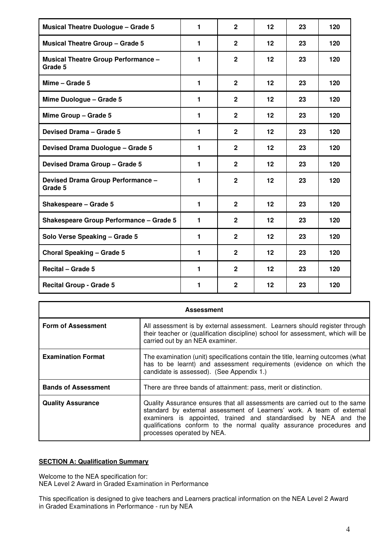| <b>Musical Theatre Duologue - Grade 5</b>             | 1 | $\overline{2}$ | 12                | 23 | 120 |
|-------------------------------------------------------|---|----------------|-------------------|----|-----|
| <b>Musical Theatre Group - Grade 5</b>                | 1 | $\overline{2}$ | 12                | 23 | 120 |
| <b>Musical Theatre Group Performance -</b><br>Grade 5 | 1 | $\overline{2}$ | 12                | 23 | 120 |
| Mime - Grade 5                                        | 1 | $\overline{2}$ | 12                | 23 | 120 |
| Mime Duologue - Grade 5                               | 1 | $\overline{2}$ | 12                | 23 | 120 |
| Mime Group - Grade 5                                  | 1 | $\mathbf{2}$   | 12                | 23 | 120 |
| Devised Drama - Grade 5                               | 1 | $\overline{2}$ | 12                | 23 | 120 |
| Devised Drama Duologue - Grade 5                      | 1 | $\overline{2}$ | $12 \,$           | 23 | 120 |
| Devised Drama Group - Grade 5                         | 1 | $\overline{2}$ | 12                | 23 | 120 |
| Devised Drama Group Performance -<br>Grade 5          | 1 | $\overline{2}$ | 12                | 23 | 120 |
| Shakespeare - Grade 5                                 | 1 | $\mathbf{2}$   | 12                | 23 | 120 |
| <b>Shakespeare Group Performance - Grade 5</b>        | 1 | $\overline{2}$ | 12                | 23 | 120 |
| Solo Verse Speaking - Grade 5                         | 1 | $\overline{2}$ | 12                | 23 | 120 |
| <b>Choral Speaking - Grade 5</b>                      | 1 | $\overline{2}$ | $12 \overline{ }$ | 23 | 120 |
| <b>Recital - Grade 5</b>                              | 1 | $\mathbf{2}$   | $12 \overline{ }$ | 23 | 120 |
| <b>Recital Group - Grade 5</b>                        | 1 | $\mathbf{2}$   | 12                | 23 | 120 |

| <b>Assessment</b>                                                                                                                                                                                                              |                                                                                                                                                                                                                                                                                                                               |  |  |  |  |  |
|--------------------------------------------------------------------------------------------------------------------------------------------------------------------------------------------------------------------------------|-------------------------------------------------------------------------------------------------------------------------------------------------------------------------------------------------------------------------------------------------------------------------------------------------------------------------------|--|--|--|--|--|
| <b>Form of Assessment</b><br>All assessment is by external assessment. Learners should register through<br>their teacher or (qualification discipline) school for assessment, which will be<br>carried out by an NEA examiner. |                                                                                                                                                                                                                                                                                                                               |  |  |  |  |  |
| <b>Examination Format</b>                                                                                                                                                                                                      | The examination (unit) specifications contain the title, learning outcomes (what<br>has to be learnt) and assessment requirements (evidence on which the<br>candidate is assessed). (See Appendix 1.)                                                                                                                         |  |  |  |  |  |
| <b>Bands of Assessment</b>                                                                                                                                                                                                     | There are three bands of attainment: pass, merit or distinction.                                                                                                                                                                                                                                                              |  |  |  |  |  |
| <b>Quality Assurance</b>                                                                                                                                                                                                       | Quality Assurance ensures that all assessments are carried out to the same<br>standard by external assessment of Learners' work. A team of external<br>examiners is appointed, trained and standardised by NEA and the<br>qualifications conform to the normal quality assurance procedures and<br>processes operated by NEA. |  |  |  |  |  |

## <span id="page-3-0"></span>**SECTION A: Qualification Summary**

Welcome to the NEA specification for:

NEA Level 2 Award in Graded Examination in Performance

This specification is designed to give teachers and Learners practical information on the NEA Level 2 Award in Graded Examinations in Performance - run by NEA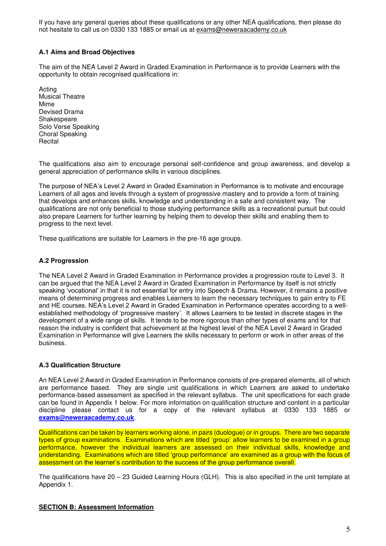If you have any general queries about these qualifications or any other NEA qualifications, then please do not hesitate to call us on 0330 133 1885 or email us at exams@neweraacademy.co.uk

## <span id="page-4-0"></span>**A.1 Aims and Broad Objectives**

The aim of the NEA Level 2 Award in Graded Examination in Performance is to provide Learners with the opportunity to obtain recognised qualifications in:

Acting Musical Theatre Mime Devised Drama Shakespeare Solo Verse Speaking Choral Speaking **Recital** 

The qualifications also aim to encourage personal self-confidence and group awareness, and develop a general appreciation of performance skills in various disciplines.

The purpose of NEA's Level 2 Award in Graded Examination in Performance is to motivate and encourage Learners of all ages and levels through a system of progressive mastery and to provide a form of training that develops and enhances skills, knowledge and understanding in a safe and consistent way. The qualifications are not only beneficial to those studying performance skills as a recreational pursuit but could also prepare Learners for further learning by helping them to develop their skills and enabling them to progress to the next level.

These qualifications are suitable for Learners in the pre-16 age groups.

### <span id="page-4-1"></span>**A.2 Progression**

The NEA Level 2 Award in Graded Examination in Performance provides a progression route to Level 3. It can be argued that the NEA Level 2 Award in Graded Examination in Performance by itself is not strictly speaking 'vocational' in that it is not essential for entry into Speech & Drama. However, it remains a positive means of determining progress and enables Learners to learn the necessary techniques to gain entry to FE and HE courses. NEA's Level 2 Award in Graded Examination in Performance operates according to a wellestablished methodology of 'progressive mastery'. It allows Learners to be tested in discrete stages in the development of a wide range of skills. It tends to be more rigorous than other types of exams and for that reason the industry is confident that achievement at the highest level of the NEA Level 2 Award in Graded Examination in Performance will give Learners the skills necessary to perform or work in other areas of the business.

### <span id="page-4-2"></span>**A.3 Qualification Structure**

An NEA Level 2 Award in Graded Examination in Performance consists of pre-prepared elements, all of which are performance based. They are single unit qualifications in which Learners are asked to undertake performance-based assessment as specified in the relevant syllabus. The unit specifications for each grade can be found in Appendix 1 below. For more information on qualification structure and content in a particular discipline please contact us for a copy of the relevant syllabus at 0330 133 1885 or **[exams@neweraacademy.co.uk](mailto:exams@neweraacademy.co.uk)**.

Qualifications can be taken by learners working alone, in pairs (duologue) or in groups. There are two separate types of group examinations. Examinations which are titled 'group' allow learners to be examined in a group performance, however the individual learners are assessed on their individual skills, knowledge and understanding. Examinations which are titled 'group performance' are examined as a group with the focus of assessment on the learner's contribution to the success of the group performance overall.

The qualifications have 20 – 23 Guided Learning Hours (GLH). This is also specified in the unit template at Appendix 1.

### <span id="page-4-3"></span>**SECTION B: Assessment Information**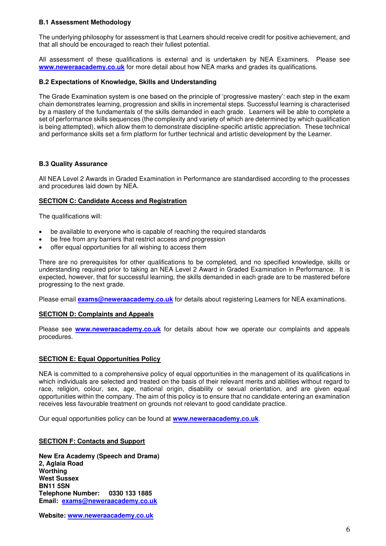### <span id="page-5-0"></span>**B.1 Assessment Methodology**

The underlying philosophy for assessment is that Learners should receive credit for positive achievement, and that all should be encouraged to reach their fullest potential.

All assessment of these qualifications is external and is undertaken by NEA Examiners. Please see **[www.neweraacademy.co.uk](http://www.neweraacademy.co.uk/)** for more detail about how NEA marks and grades its qualifications.

#### <span id="page-5-1"></span>**B.2 Expectations of Knowledge, Skills and Understanding**

The Grade Examination system is one based on the principle of 'progressive mastery': each step in the exam chain demonstrates learning, progression and skills in incremental steps. Successful learning is characterised by a mastery of the fundamentals of the skills demanded in each grade. Learners will be able to complete a set of performance skills sequences (the complexity and variety of which are determined by which qualification is being attempted), which allow them to demonstrate discipline-specific artistic appreciation. These technical and performance skills set a firm platform for further technical and artistic development by the Learner.

### <span id="page-5-2"></span>**B.3 Quality Assurance**

All NEA Level 2 Awards in Graded Examination in Performance are standardised according to the processes and procedures laid down by NEA.

### <span id="page-5-3"></span>**SECTION C: Candidate Access and Registration**

The qualifications will:

- be available to everyone who is capable of reaching the required standards
- be free from any barriers that restrict access and progression
- offer equal opportunities for all wishing to access them

There are no prerequisites for other qualifications to be completed, and no specified knowledge, skills or understanding required prior to taking an NEA Level 2 Award in Graded Examination in Performance. It is expected, however, that for successful learning, the skills demanded in each grade are to be mastered before progressing to the next grade.

Please email **[exams@neweraacademy.co.uk](mailto:exams@neweraacademy.co.uk)** for details about registering Learners for NEA examinations.

### <span id="page-5-4"></span>**SECTION D: Complaints and Appeals**

Please see **[www.neweraacademy.co.uk](http://www.neweraacademy.co.uk/)** for details about how we operate our complaints and appeals procedures.

### <span id="page-5-5"></span>**SECTION E: Equal Opportunities Policy**

NEA is committed to a comprehensive policy of equal opportunities in the management of its qualifications in which individuals are selected and treated on the basis of their relevant merits and abilities without regard to race, religion, colour, sex, age, national origin, disability or sexual orientation, and are given equal opportunities within the company. The aim of this policy is to ensure that no candidate entering an examination receives less favourable treatment on grounds not relevant to good candidate practice.

Our equal opportunities policy can be found at **[www.neweraacademy.co.uk](http://www.neweraacademy.co.uk/)**.

#### <span id="page-5-6"></span>**SECTION F: Contacts and Support**

**New Era Academy (Speech and Drama) 2, Aglaia Road Worthing West Sussex BN11 5SN Telephone Number: 0330 133 1885 Email: [exams@neweraacademy.co.uk](mailto:exams@neweraacademy.co.uk)**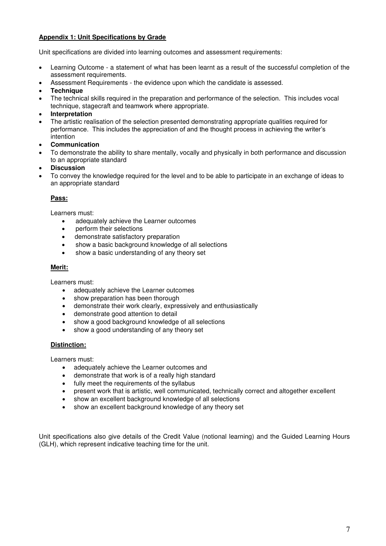## <span id="page-6-0"></span>**Appendix 1: Unit Specifications by Grade**

Unit specifications are divided into learning outcomes and assessment requirements:

- Learning Outcome a statement of what has been learnt as a result of the successful completion of the assessment requirements.
- Assessment Requirements the evidence upon which the candidate is assessed.
- **Technique**
- The technical skills required in the preparation and performance of the selection. This includes vocal technique, stagecraft and teamwork where appropriate.
- **Interpretation**
- The artistic realisation of the selection presented demonstrating appropriate qualities required for performance. This includes the appreciation of and the thought process in achieving the writer's intention
- **Communication**
- To demonstrate the ability to share mentally, vocally and physically in both performance and discussion to an appropriate standard
- **Discussion**
- To convey the knowledge required for the level and to be able to participate in an exchange of ideas to an appropriate standard

## **Pass:**

Learners must:

- adequately achieve the Learner outcomes
- perform their selections
- demonstrate satisfactory preparation
- show a basic background knowledge of all selections
- show a basic understanding of any theory set

#### **Merit:**

Learners must:

- adequately achieve the Learner outcomes
- show preparation has been thorough
- demonstrate their work clearly, expressively and enthusiastically
- demonstrate good attention to detail
- show a good background knowledge of all selections
- show a good understanding of any theory set

### **Distinction:**

Learners must:

- adequately achieve the Learner outcomes and
- demonstrate that work is of a really high standard
- fully meet the requirements of the syllabus
- present work that is artistic, well communicated, technically correct and altogether excellent
- show an excellent background knowledge of all selections
- show an excellent background knowledge of any theory set

Unit specifications also give details of the Credit Value (notional learning) and the Guided Learning Hours (GLH), which represent indicative teaching time for the unit.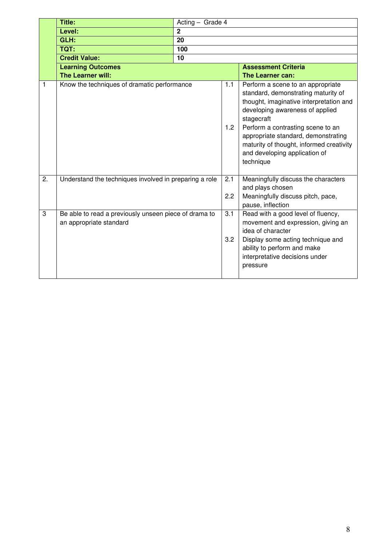|    | Title:                                                                           | Acting - Grade 4 |            |                                                                                                                                                                                                                                                                                                                                            |  |  |
|----|----------------------------------------------------------------------------------|------------------|------------|--------------------------------------------------------------------------------------------------------------------------------------------------------------------------------------------------------------------------------------------------------------------------------------------------------------------------------------------|--|--|
|    | Level:                                                                           | $\overline{2}$   |            |                                                                                                                                                                                                                                                                                                                                            |  |  |
|    | GLH:                                                                             | 20               |            |                                                                                                                                                                                                                                                                                                                                            |  |  |
|    | TQT:                                                                             | 100              |            |                                                                                                                                                                                                                                                                                                                                            |  |  |
|    | <b>Credit Value:</b>                                                             | 10               |            |                                                                                                                                                                                                                                                                                                                                            |  |  |
|    | <b>Learning Outcomes</b>                                                         |                  |            | <b>Assessment Criteria</b>                                                                                                                                                                                                                                                                                                                 |  |  |
|    | The Learner will:                                                                |                  |            | The Learner can:                                                                                                                                                                                                                                                                                                                           |  |  |
| 1  | Know the techniques of dramatic performance                                      |                  | 1.1<br>1.2 | Perform a scene to an appropriate<br>standard, demonstrating maturity of<br>thought, imaginative interpretation and<br>developing awareness of applied<br>stagecraft<br>Perform a contrasting scene to an<br>appropriate standard, demonstrating<br>maturity of thought, informed creativity<br>and developing application of<br>technique |  |  |
| 2. | Understand the techniques involved in preparing a role                           |                  | 2.1<br>2.2 | Meaningfully discuss the characters<br>and plays chosen<br>Meaningfully discuss pitch, pace,<br>pause, inflection                                                                                                                                                                                                                          |  |  |
| 3  | Be able to read a previously unseen piece of drama to<br>an appropriate standard |                  | 3.1<br>3.2 | Read with a good level of fluency,<br>movement and expression, giving an<br>idea of character<br>Display some acting technique and<br>ability to perform and make<br>interpretative decisions under<br>pressure                                                                                                                            |  |  |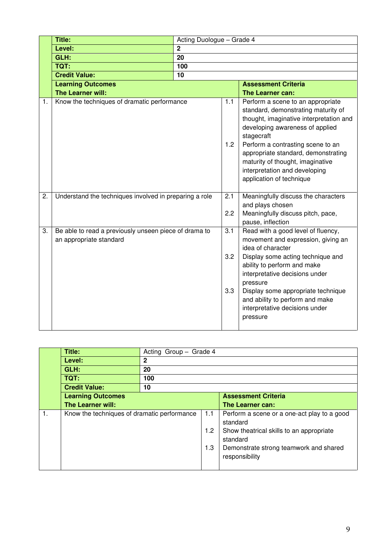|    | <b>Title:</b>                                                                    | Acting Duologue - Grade 4 |                   |                                                                                                                                                                                                                                                                                                                                                   |  |  |
|----|----------------------------------------------------------------------------------|---------------------------|-------------------|---------------------------------------------------------------------------------------------------------------------------------------------------------------------------------------------------------------------------------------------------------------------------------------------------------------------------------------------------|--|--|
|    | Level:                                                                           | $\overline{2}$            |                   |                                                                                                                                                                                                                                                                                                                                                   |  |  |
|    | GLH:                                                                             | 20                        |                   |                                                                                                                                                                                                                                                                                                                                                   |  |  |
|    | <b>TQT:</b>                                                                      | 100                       |                   |                                                                                                                                                                                                                                                                                                                                                   |  |  |
|    | <b>Credit Value:</b>                                                             | 10                        |                   |                                                                                                                                                                                                                                                                                                                                                   |  |  |
|    | <b>Learning Outcomes</b>                                                         |                           |                   | <b>Assessment Criteria</b>                                                                                                                                                                                                                                                                                                                        |  |  |
|    | The Learner will:                                                                |                           | 1.1               | <b>The Learner can:</b>                                                                                                                                                                                                                                                                                                                           |  |  |
| 1. | Know the techniques of dramatic performance                                      |                           |                   | Perform a scene to an appropriate<br>standard, demonstrating maturity of<br>thought, imaginative interpretation and<br>developing awareness of applied<br>stagecraft<br>Perform a contrasting scene to an<br>appropriate standard, demonstrating<br>maturity of thought, imaginative<br>interpretation and developing<br>application of technique |  |  |
| 2. | Understand the techniques involved in preparing a role                           |                           | 2.1<br>2.2        | Meaningfully discuss the characters<br>and plays chosen<br>Meaningfully discuss pitch, pace,<br>pause, inflection                                                                                                                                                                                                                                 |  |  |
| 3. | Be able to read a previously unseen piece of drama to<br>an appropriate standard |                           | 3.1<br>3.2<br>3.3 | Read with a good level of fluency,<br>movement and expression, giving an<br>idea of character<br>Display some acting technique and<br>ability to perform and make<br>interpretative decisions under<br>pressure<br>Display some appropriate technique<br>and ability to perform and make<br>interpretative decisions under<br>pressure            |  |  |

|                | Title:                                      | Acting Group - Grade 4 |     |                                                          |  |  |  |
|----------------|---------------------------------------------|------------------------|-----|----------------------------------------------------------|--|--|--|
|                | Level:                                      | $\mathbf{2}$           |     |                                                          |  |  |  |
|                | GLH:                                        | 20                     |     |                                                          |  |  |  |
|                | TQT:                                        | 100                    |     |                                                          |  |  |  |
|                | <b>Credit Value:</b>                        | 10                     |     |                                                          |  |  |  |
|                | <b>Learning Outcomes</b>                    |                        |     | <b>Assessment Criteria</b>                               |  |  |  |
|                | <b>The Learner will:</b>                    |                        |     | The Learner can:                                         |  |  |  |
| $\mathbf{1}$ . | Know the techniques of dramatic performance |                        | 1.1 | Perform a scene or a one-act play to a good<br>standard  |  |  |  |
|                |                                             |                        | 1.2 | Show theatrical skills to an appropriate<br>standard     |  |  |  |
|                |                                             |                        | 1.3 | Demonstrate strong teamwork and shared<br>responsibility |  |  |  |
|                |                                             |                        |     |                                                          |  |  |  |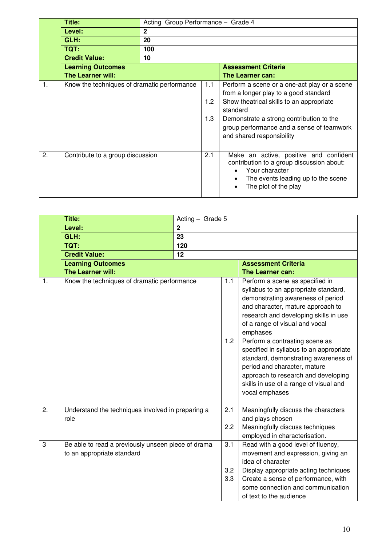|    | Title:                                      | Acting Group Performance - Grade 4 |     |                                                                                                                                                                     |  |  |  |
|----|---------------------------------------------|------------------------------------|-----|---------------------------------------------------------------------------------------------------------------------------------------------------------------------|--|--|--|
|    | Level:                                      | $\mathbf{2}$                       |     |                                                                                                                                                                     |  |  |  |
|    | GLH:                                        | 20                                 |     |                                                                                                                                                                     |  |  |  |
|    | TQT:                                        | 100                                |     |                                                                                                                                                                     |  |  |  |
|    | <b>Credit Value:</b>                        | 10                                 |     |                                                                                                                                                                     |  |  |  |
|    | <b>Learning Outcomes</b>                    |                                    |     | <b>Assessment Criteria</b>                                                                                                                                          |  |  |  |
|    | The Learner will:                           |                                    |     | The Learner can:                                                                                                                                                    |  |  |  |
| 1. | Know the techniques of dramatic performance |                                    | 1.1 | Perform a scene or a one-act play or a scene<br>from a longer play to a good standard                                                                               |  |  |  |
|    |                                             |                                    | 1.2 | Show theatrical skills to an appropriate<br>standard                                                                                                                |  |  |  |
|    |                                             |                                    | 1.3 | Demonstrate a strong contribution to the<br>group performance and a sense of teamwork<br>and shared responsibility                                                  |  |  |  |
| 2. | Contribute to a group discussion            |                                    | 2.1 | Make an active, positive and confident<br>contribution to a group discussion about:<br>Your character<br>The events leading up to the scene<br>The plot of the play |  |  |  |

|                | Title:                                                                           | Acting - Grade 5 |                   |                                                                                                                                                                                                                                                                                                                                                                                                                                                                                                  |  |
|----------------|----------------------------------------------------------------------------------|------------------|-------------------|--------------------------------------------------------------------------------------------------------------------------------------------------------------------------------------------------------------------------------------------------------------------------------------------------------------------------------------------------------------------------------------------------------------------------------------------------------------------------------------------------|--|
|                | Level:                                                                           | $\overline{2}$   |                   |                                                                                                                                                                                                                                                                                                                                                                                                                                                                                                  |  |
|                | GLH:                                                                             | 23               |                   |                                                                                                                                                                                                                                                                                                                                                                                                                                                                                                  |  |
|                | TQT:                                                                             | 120              |                   |                                                                                                                                                                                                                                                                                                                                                                                                                                                                                                  |  |
|                | <b>Credit Value:</b>                                                             | 12               |                   |                                                                                                                                                                                                                                                                                                                                                                                                                                                                                                  |  |
|                | <b>Learning Outcomes</b>                                                         |                  |                   | <b>Assessment Criteria</b>                                                                                                                                                                                                                                                                                                                                                                                                                                                                       |  |
|                | The Learner will:                                                                |                  |                   | The Learner can:                                                                                                                                                                                                                                                                                                                                                                                                                                                                                 |  |
| $\mathbf{1}$ . | Know the techniques of dramatic performance                                      |                  | $1.1$<br>1.2      | Perform a scene as specified in<br>syllabus to an appropriate standard,<br>demonstrating awareness of period<br>and character, mature approach to<br>research and developing skills in use<br>of a range of visual and vocal<br>emphases<br>Perform a contrasting scene as<br>specified in syllabus to an appropriate<br>standard, demonstrating awareness of<br>period and character, mature<br>approach to research and developing<br>skills in use of a range of visual and<br>vocal emphases |  |
| 2.             | Understand the techniques involved in preparing a<br>role                        |                  | 2.1<br>2.2        | Meaningfully discuss the characters<br>and plays chosen<br>Meaningfully discuss techniques<br>employed in characterisation.                                                                                                                                                                                                                                                                                                                                                                      |  |
| 3              | Be able to read a previously unseen piece of drama<br>to an appropriate standard |                  | 3.1<br>3.2<br>3.3 | Read with a good level of fluency,<br>movement and expression, giving an<br>idea of character<br>Display appropriate acting techniques<br>Create a sense of performance, with<br>some connection and communication<br>of text to the audience                                                                                                                                                                                                                                                    |  |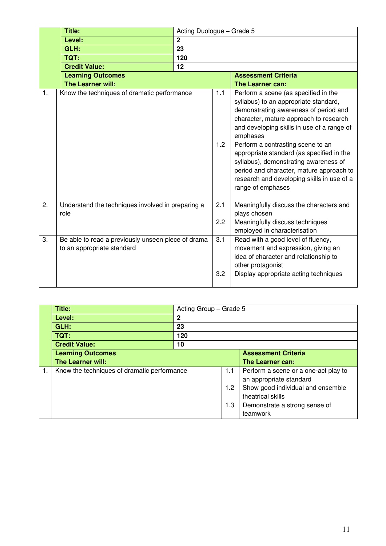|                  | <b>Title:</b>                                                                    | Acting Duologue - Grade 5 |            |                                                                                                                                                                                                                                                                                                                                                                                                                                                                      |  |  |
|------------------|----------------------------------------------------------------------------------|---------------------------|------------|----------------------------------------------------------------------------------------------------------------------------------------------------------------------------------------------------------------------------------------------------------------------------------------------------------------------------------------------------------------------------------------------------------------------------------------------------------------------|--|--|
|                  | Level:                                                                           | $\overline{2}$            |            |                                                                                                                                                                                                                                                                                                                                                                                                                                                                      |  |  |
|                  | GLH:                                                                             | $\overline{23}$           |            |                                                                                                                                                                                                                                                                                                                                                                                                                                                                      |  |  |
|                  | TQT:                                                                             | 120                       |            |                                                                                                                                                                                                                                                                                                                                                                                                                                                                      |  |  |
|                  | <b>Credit Value:</b>                                                             | 12                        |            |                                                                                                                                                                                                                                                                                                                                                                                                                                                                      |  |  |
|                  | <b>Learning Outcomes</b>                                                         |                           |            | <b>Assessment Criteria</b>                                                                                                                                                                                                                                                                                                                                                                                                                                           |  |  |
|                  | The Learner will:                                                                |                           |            | The Learner can:                                                                                                                                                                                                                                                                                                                                                                                                                                                     |  |  |
| 1.               | Know the techniques of dramatic performance                                      |                           | 1.1<br>1.2 | Perform a scene (as specified in the<br>syllabus) to an appropriate standard,<br>demonstrating awareness of period and<br>character, mature approach to research<br>and developing skills in use of a range of<br>emphases<br>Perform a contrasting scene to an<br>appropriate standard (as specified in the<br>syllabus), demonstrating awareness of<br>period and character, mature approach to<br>research and developing skills in use of a<br>range of emphases |  |  |
| $\overline{2}$ . | Understand the techniques involved in preparing a<br>role                        |                           | 2.1<br>2.2 | Meaningfully discuss the characters and<br>plays chosen<br>Meaningfully discuss techniques<br>employed in characterisation                                                                                                                                                                                                                                                                                                                                           |  |  |
| 3.               | Be able to read a previously unseen piece of drama<br>to an appropriate standard |                           | 3.1<br>3.2 | Read with a good level of fluency,<br>movement and expression, giving an<br>idea of character and relationship to<br>other protagonist<br>Display appropriate acting techniques                                                                                                                                                                                                                                                                                      |  |  |

|    | Title:                                      |             | Acting Group - Grade 5 |                                                                 |  |  |
|----|---------------------------------------------|-------------|------------------------|-----------------------------------------------------------------|--|--|
|    | Level:                                      | $\mathbf 2$ |                        |                                                                 |  |  |
|    | GLH:                                        | 23          |                        |                                                                 |  |  |
|    | <b>TQT:</b>                                 | 120         |                        |                                                                 |  |  |
|    | <b>Credit Value:</b>                        | 10          |                        |                                                                 |  |  |
|    | <b>Learning Outcomes</b>                    |             |                        | <b>Assessment Criteria</b>                                      |  |  |
|    | <b>The Learner will:</b>                    |             |                        | The Learner can:                                                |  |  |
| 1. | Know the techniques of dramatic performance |             | 1.1                    | Perform a scene or a one-act play to<br>an appropriate standard |  |  |
|    |                                             |             | 1.2                    | Show good individual and ensemble<br>theatrical skills          |  |  |
|    |                                             |             | 1.3                    | Demonstrate a strong sense of<br>teamwork                       |  |  |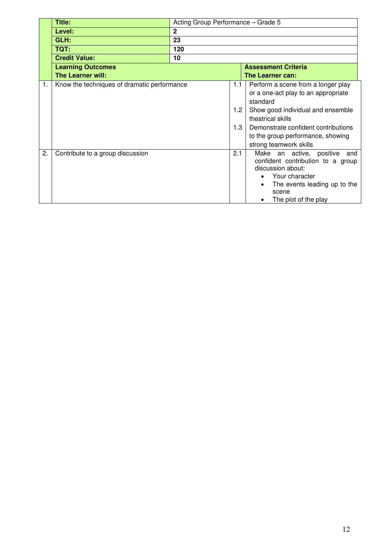| Title:                           |              |                                             |                                                         |
|----------------------------------|--------------|---------------------------------------------|---------------------------------------------------------|
| Level:                           | $\mathbf{2}$ |                                             |                                                         |
| GLH:                             | 23           |                                             |                                                         |
| TQT:                             | 120          |                                             |                                                         |
| <b>Credit Value:</b>             | 10           |                                             |                                                         |
| <b>Learning Outcomes</b>         |              |                                             | <b>Assessment Criteria</b>                              |
| The Learner will:                |              |                                             | The Learner can:                                        |
|                                  |              |                                             | Perform a scene from a longer play                      |
|                                  |              |                                             | or a one-act play to an appropriate                     |
|                                  |              |                                             | standard                                                |
|                                  |              |                                             | Show good individual and ensemble                       |
|                                  |              |                                             | theatrical skills                                       |
|                                  |              |                                             | Demonstrate confident contributions                     |
|                                  |              |                                             | to the group performance, showing                       |
|                                  |              |                                             | strong teamwork skills                                  |
| Contribute to a group discussion |              | 2.1                                         | Make an active, positive<br>and                         |
|                                  |              |                                             | confident contribution to a group                       |
|                                  |              |                                             | discussion about:                                       |
|                                  |              |                                             | Your character<br>$\bullet$                             |
|                                  |              |                                             | The events leading up to the<br>scene                   |
|                                  |              |                                             | The plot of the play                                    |
|                                  |              | Know the techniques of dramatic performance | Acting Group Performance - Grade 5<br>1.1<br>1.2<br>1.3 |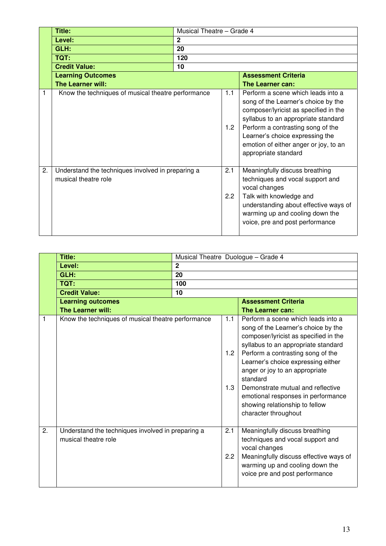|    | Title:                                                                    | Musical Theatre - Grade 4 |            |                                                                                                                                                                                                                                                                                                    |  |
|----|---------------------------------------------------------------------------|---------------------------|------------|----------------------------------------------------------------------------------------------------------------------------------------------------------------------------------------------------------------------------------------------------------------------------------------------------|--|
|    | Level:                                                                    | $\mathbf{2}$              |            |                                                                                                                                                                                                                                                                                                    |  |
|    | GLH:                                                                      | 20                        |            |                                                                                                                                                                                                                                                                                                    |  |
|    | TQT:                                                                      | 120                       |            |                                                                                                                                                                                                                                                                                                    |  |
|    | <b>Credit Value:</b>                                                      | 10                        |            |                                                                                                                                                                                                                                                                                                    |  |
|    | <b>Learning Outcomes</b>                                                  |                           |            | <b>Assessment Criteria</b>                                                                                                                                                                                                                                                                         |  |
|    | The Learner will:                                                         |                           |            | The Learner can:                                                                                                                                                                                                                                                                                   |  |
|    | Know the techniques of musical theatre performance                        |                           | 1.1<br>1.2 | Perform a scene which leads into a<br>song of the Learner's choice by the<br>composer/lyricist as specified in the<br>syllabus to an appropriate standard<br>Perform a contrasting song of the<br>Learner's choice expressing the<br>emotion of either anger or joy, to an<br>appropriate standard |  |
| 2. | Understand the techniques involved in preparing a<br>musical theatre role |                           | 2.1<br>2.2 | Meaningfully discuss breathing<br>techniques and vocal support and<br>vocal changes<br>Talk with knowledge and<br>understanding about effective ways of<br>warming up and cooling down the<br>voice, pre and post performance                                                                      |  |

|    | <b>Title:</b>                                                             | Musical Theatre Duologue - Grade 4 |                   |                                                                                                                                                                                                                                                                                                                                                                                                                         |  |
|----|---------------------------------------------------------------------------|------------------------------------|-------------------|-------------------------------------------------------------------------------------------------------------------------------------------------------------------------------------------------------------------------------------------------------------------------------------------------------------------------------------------------------------------------------------------------------------------------|--|
|    | Level:                                                                    | $\mathbf{2}$                       |                   |                                                                                                                                                                                                                                                                                                                                                                                                                         |  |
|    | GLH:                                                                      | 20                                 |                   |                                                                                                                                                                                                                                                                                                                                                                                                                         |  |
|    | TQT:                                                                      | 100                                |                   |                                                                                                                                                                                                                                                                                                                                                                                                                         |  |
|    | <b>Credit Value:</b>                                                      | 10                                 |                   |                                                                                                                                                                                                                                                                                                                                                                                                                         |  |
|    | <b>Learning outcomes</b>                                                  |                                    |                   | <b>Assessment Criteria</b>                                                                                                                                                                                                                                                                                                                                                                                              |  |
|    | The Learner will:                                                         |                                    |                   | The Learner can:                                                                                                                                                                                                                                                                                                                                                                                                        |  |
| 1  | Know the techniques of musical theatre performance                        |                                    | 1.1<br>1.2<br>1.3 | Perform a scene which leads into a<br>song of the Learner's choice by the<br>composer/lyricist as specified in the<br>syllabus to an appropriate standard<br>Perform a contrasting song of the<br>Learner's choice expressing either<br>anger or joy to an appropriate<br>standard<br>Demonstrate mutual and reflective<br>emotional responses in performance<br>showing relationship to fellow<br>character throughout |  |
| 2. | Understand the techniques involved in preparing a<br>musical theatre role |                                    | 2.1<br>2.2        | Meaningfully discuss breathing<br>techniques and vocal support and<br>vocal changes<br>Meaningfully discuss effective ways of<br>warming up and cooling down the<br>voice pre and post performance                                                                                                                                                                                                                      |  |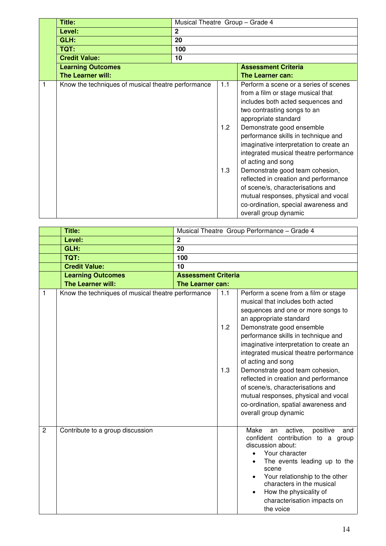|   | Title:                                             |                | Musical Theatre Group - Grade 4 |                                                                                                                                                                                                                                                                                                                                                                                                                                                                                                                                                                                 |  |
|---|----------------------------------------------------|----------------|---------------------------------|---------------------------------------------------------------------------------------------------------------------------------------------------------------------------------------------------------------------------------------------------------------------------------------------------------------------------------------------------------------------------------------------------------------------------------------------------------------------------------------------------------------------------------------------------------------------------------|--|
|   | Level:                                             | $\overline{2}$ |                                 |                                                                                                                                                                                                                                                                                                                                                                                                                                                                                                                                                                                 |  |
|   | GLH:                                               | 20             |                                 |                                                                                                                                                                                                                                                                                                                                                                                                                                                                                                                                                                                 |  |
|   | TQT:                                               | 100            |                                 |                                                                                                                                                                                                                                                                                                                                                                                                                                                                                                                                                                                 |  |
|   | <b>Credit Value:</b>                               | 10             |                                 |                                                                                                                                                                                                                                                                                                                                                                                                                                                                                                                                                                                 |  |
|   | <b>Learning Outcomes</b>                           |                |                                 | <b>Assessment Criteria</b>                                                                                                                                                                                                                                                                                                                                                                                                                                                                                                                                                      |  |
|   | The Learner will:                                  |                |                                 | The Learner can:                                                                                                                                                                                                                                                                                                                                                                                                                                                                                                                                                                |  |
| 1 | Know the techniques of musical theatre performance |                | 1.1<br>1.2<br>1.3               | Perform a scene or a series of scenes<br>from a film or stage musical that<br>includes both acted sequences and<br>two contrasting songs to an<br>appropriate standard<br>Demonstrate good ensemble<br>performance skills in technique and<br>imaginative interpretation to create an<br>integrated musical theatre performance<br>of acting and song<br>Demonstrate good team cohesion,<br>reflected in creation and performance<br>of scene/s, characterisations and<br>mutual responses, physical and vocal<br>co-ordination, special awareness and<br>overall group dynamic |  |

|                | Title:                                             |                            |                   | Musical Theatre Group Performance - Grade 4                                                                                                                                                                                                                                                                                                                                                                                                                                                                                                        |  |
|----------------|----------------------------------------------------|----------------------------|-------------------|----------------------------------------------------------------------------------------------------------------------------------------------------------------------------------------------------------------------------------------------------------------------------------------------------------------------------------------------------------------------------------------------------------------------------------------------------------------------------------------------------------------------------------------------------|--|
|                | Level:                                             | $\overline{2}$             |                   |                                                                                                                                                                                                                                                                                                                                                                                                                                                                                                                                                    |  |
|                | GLH:                                               | 20                         |                   |                                                                                                                                                                                                                                                                                                                                                                                                                                                                                                                                                    |  |
|                | TQT:                                               | 100                        |                   |                                                                                                                                                                                                                                                                                                                                                                                                                                                                                                                                                    |  |
|                | <b>Credit Value:</b>                               | 10                         |                   |                                                                                                                                                                                                                                                                                                                                                                                                                                                                                                                                                    |  |
|                | <b>Learning Outcomes</b>                           | <b>Assessment Criteria</b> |                   |                                                                                                                                                                                                                                                                                                                                                                                                                                                                                                                                                    |  |
|                | The Learner will:                                  | <b>The Learner can:</b>    |                   |                                                                                                                                                                                                                                                                                                                                                                                                                                                                                                                                                    |  |
| 1              | Know the techniques of musical theatre performance |                            | 1.1<br>1.2<br>1.3 | Perform a scene from a film or stage<br>musical that includes both acted<br>sequences and one or more songs to<br>an appropriate standard<br>Demonstrate good ensemble<br>performance skills in technique and<br>imaginative interpretation to create an<br>integrated musical theatre performance<br>of acting and song<br>Demonstrate good team cohesion,<br>reflected in creation and performance<br>of scene/s, characterisations and<br>mutual responses, physical and vocal<br>co-ordination, spatial awareness and<br>overall group dynamic |  |
| $\overline{2}$ | Contribute to a group discussion                   |                            |                   | Make<br>active, positive<br>and<br>an<br>confident contribution to a group<br>discussion about:<br>Your character<br>The events leading up to the<br>scene<br>Your relationship to the other<br>characters in the musical<br>How the physicality of<br>$\bullet$<br>characterisation impacts on<br>the voice                                                                                                                                                                                                                                       |  |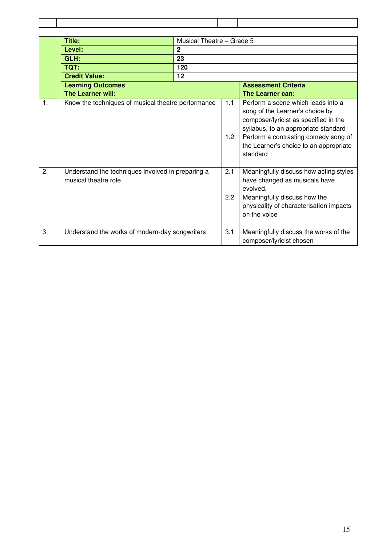|                | <b>Title:</b>                                                             | Musical Theatre - Grade 5 |            |                                                                                                                                                                                                                                                      |
|----------------|---------------------------------------------------------------------------|---------------------------|------------|------------------------------------------------------------------------------------------------------------------------------------------------------------------------------------------------------------------------------------------------------|
|                | Level:                                                                    | $\overline{2}$            |            |                                                                                                                                                                                                                                                      |
|                | GLH:                                                                      | 23                        |            |                                                                                                                                                                                                                                                      |
|                | TQT:                                                                      | 120                       |            |                                                                                                                                                                                                                                                      |
|                | <b>Credit Value:</b>                                                      | 12                        |            |                                                                                                                                                                                                                                                      |
|                | <b>Learning Outcomes</b>                                                  |                           |            | <b>Assessment Criteria</b>                                                                                                                                                                                                                           |
|                | The Learner will:                                                         |                           |            | The Learner can:                                                                                                                                                                                                                                     |
| $\mathbf{1}$ . | Know the techniques of musical theatre performance                        |                           | 1.1<br>1.2 | Perform a scene which leads into a<br>song of the Learner's choice by<br>composer/lyricist as specified in the<br>syllabus, to an appropriate standard<br>Perform a contrasting comedy song of<br>the Learner's choice to an appropriate<br>standard |
| 2.             | Understand the techniques involved in preparing a<br>musical theatre role |                           | 2.1<br>2.2 | Meaningfully discuss how acting styles<br>have changed as musicals have<br>evolved.<br>Meaningfully discuss how the<br>physicality of characterisation impacts<br>on the voice                                                                       |
| 3.             | Understand the works of modern-day songwriters                            |                           | 3.1        | Meaningfully discuss the works of the<br>composer/lyricist chosen                                                                                                                                                                                    |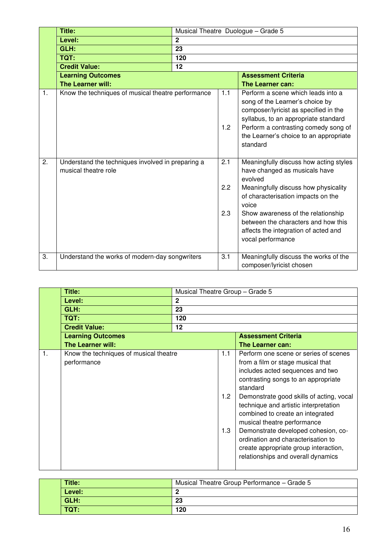|    | Title:                                                                    |                |                   | Musical Theatre Duologue - Grade 5                                                                                                                                                                                                                                                                                  |
|----|---------------------------------------------------------------------------|----------------|-------------------|---------------------------------------------------------------------------------------------------------------------------------------------------------------------------------------------------------------------------------------------------------------------------------------------------------------------|
|    | Level:                                                                    | $\overline{2}$ |                   |                                                                                                                                                                                                                                                                                                                     |
|    | GLH:                                                                      | 23             |                   |                                                                                                                                                                                                                                                                                                                     |
|    | <b>TQT:</b>                                                               | 120            |                   |                                                                                                                                                                                                                                                                                                                     |
|    | <b>Credit Value:</b>                                                      | 12             |                   |                                                                                                                                                                                                                                                                                                                     |
|    | <b>Learning Outcomes</b>                                                  |                |                   | <b>Assessment Criteria</b>                                                                                                                                                                                                                                                                                          |
|    | <b>The Learner will:</b>                                                  |                |                   | The Learner can:                                                                                                                                                                                                                                                                                                    |
| 1. | Know the techniques of musical theatre performance                        |                | 1.1<br>1.2        | Perform a scene which leads into a<br>song of the Learner's choice by<br>composer/lyricist as specified in the<br>syllabus, to an appropriate standard<br>Perform a contrasting comedy song of<br>the Learner's choice to an appropriate<br>standard                                                                |
| 2. | Understand the techniques involved in preparing a<br>musical theatre role |                | 2.1<br>2.2<br>2.3 | Meaningfully discuss how acting styles<br>have changed as musicals have<br>evolved<br>Meaningfully discuss how physicality<br>of characterisation impacts on the<br>voice<br>Show awareness of the relationship<br>between the characters and how this<br>affects the integration of acted and<br>vocal performance |
| 3. | Understand the works of modern-day songwriters                            |                | 3.1               | Meaningfully discuss the works of the<br>composer/lyricist chosen                                                                                                                                                                                                                                                   |

|    | Title:                                                | Musical Theatre Group - Grade 5 |                   |                                                                                                                                                                                                                                                                                                                                                                                                                                                                                       |  |  |
|----|-------------------------------------------------------|---------------------------------|-------------------|---------------------------------------------------------------------------------------------------------------------------------------------------------------------------------------------------------------------------------------------------------------------------------------------------------------------------------------------------------------------------------------------------------------------------------------------------------------------------------------|--|--|
|    | Level:                                                | $\mathbf{2}$                    |                   |                                                                                                                                                                                                                                                                                                                                                                                                                                                                                       |  |  |
|    | GLH:                                                  | 23                              |                   |                                                                                                                                                                                                                                                                                                                                                                                                                                                                                       |  |  |
|    | TQT:                                                  | 120                             |                   |                                                                                                                                                                                                                                                                                                                                                                                                                                                                                       |  |  |
|    | <b>Credit Value:</b>                                  | $12 \,$                         |                   |                                                                                                                                                                                                                                                                                                                                                                                                                                                                                       |  |  |
|    | <b>Learning Outcomes</b>                              |                                 |                   | <b>Assessment Criteria</b>                                                                                                                                                                                                                                                                                                                                                                                                                                                            |  |  |
|    | The Learner will:                                     |                                 |                   | The Learner can:                                                                                                                                                                                                                                                                                                                                                                                                                                                                      |  |  |
| 1. | Know the techniques of musical theatre<br>performance |                                 | 1.1<br>1.2<br>1.3 | Perform one scene or series of scenes<br>from a film or stage musical that<br>includes acted sequences and two<br>contrasting songs to an appropriate<br>standard<br>Demonstrate good skills of acting, vocal<br>technique and artistic interpretation<br>combined to create an integrated<br>musical theatre performance<br>Demonstrate developed cohesion, co-<br>ordination and characterisation to<br>create appropriate group interaction,<br>relationships and overall dynamics |  |  |

| <b>Title:</b> | Musical Theatre Group Performance - Grade 5 |
|---------------|---------------------------------------------|
| Level:        | ▃                                           |
| GLH:          | 23                                          |
| TQT:          | 120                                         |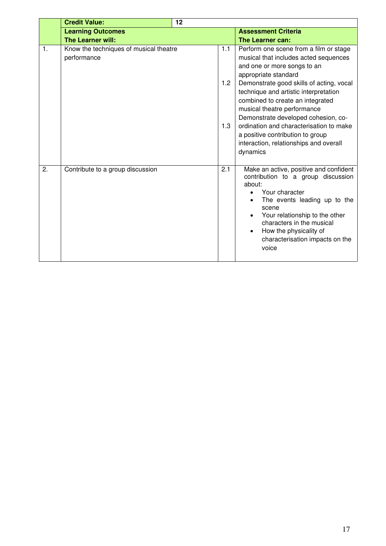|                | <b>Credit Value:</b>                                  | 12 |                   |                                                                                                                                                                                                                                                                                                                                                                                                                                                                            |
|----------------|-------------------------------------------------------|----|-------------------|----------------------------------------------------------------------------------------------------------------------------------------------------------------------------------------------------------------------------------------------------------------------------------------------------------------------------------------------------------------------------------------------------------------------------------------------------------------------------|
|                | <b>Learning Outcomes</b>                              |    |                   | <b>Assessment Criteria</b>                                                                                                                                                                                                                                                                                                                                                                                                                                                 |
|                | <b>The Learner will:</b>                              |    |                   | The Learner can:                                                                                                                                                                                                                                                                                                                                                                                                                                                           |
| $\mathbf{1}$ . | Know the techniques of musical theatre<br>performance |    | 1.1<br>1.2<br>1.3 | Perform one scene from a film or stage<br>musical that includes acted sequences<br>and one or more songs to an<br>appropriate standard<br>Demonstrate good skills of acting, vocal<br>technique and artistic interpretation<br>combined to create an integrated<br>musical theatre performance<br>Demonstrate developed cohesion, co-<br>ordination and characterisation to make<br>a positive contribution to group<br>interaction, relationships and overall<br>dynamics |
| 2.             | Contribute to a group discussion                      |    | 2.1               | Make an active, positive and confident<br>contribution to a group discussion<br>about:<br>Your character<br>The events leading up to the<br>scene<br>Your relationship to the other<br>characters in the musical<br>How the physicality of<br>characterisation impacts on the<br>voice                                                                                                                                                                                     |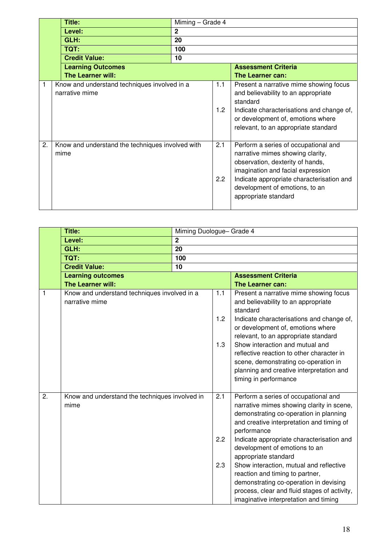|    | Title:                                                         |              | Miming - Grade 4 |                                                                                                                                                                                                                                                          |  |
|----|----------------------------------------------------------------|--------------|------------------|----------------------------------------------------------------------------------------------------------------------------------------------------------------------------------------------------------------------------------------------------------|--|
|    | Level:                                                         | $\mathbf{2}$ |                  |                                                                                                                                                                                                                                                          |  |
|    | GLH:                                                           | 20           |                  |                                                                                                                                                                                                                                                          |  |
|    | TQT:                                                           | 100          |                  |                                                                                                                                                                                                                                                          |  |
|    | <b>Credit Value:</b>                                           | 10           |                  |                                                                                                                                                                                                                                                          |  |
|    | <b>Learning Outcomes</b>                                       |              |                  | <b>Assessment Criteria</b>                                                                                                                                                                                                                               |  |
|    | <b>The Learner will:</b>                                       |              |                  | The Learner can:                                                                                                                                                                                                                                         |  |
|    | Know and understand techniques involved in a<br>narrative mime |              | 1.1<br>1.2       | Present a narrative mime showing focus<br>and believability to an appropriate<br>standard<br>Indicate characterisations and change of,<br>or development of, emotions where<br>relevant, to an appropriate standard                                      |  |
| 2. | Know and understand the techniques involved with<br>mime       |              | 2.1<br>2.2       | Perform a series of occupational and<br>narrative mimes showing clarity,<br>observation, dexterity of hands,<br>imagination and facial expression<br>Indicate appropriate characterisation and<br>development of emotions, to an<br>appropriate standard |  |

|    | <b>Title:</b>                                                  | Miming Duologue- Grade 4 |            |                                                                                                                                                                                                                                                                       |
|----|----------------------------------------------------------------|--------------------------|------------|-----------------------------------------------------------------------------------------------------------------------------------------------------------------------------------------------------------------------------------------------------------------------|
|    | Level:                                                         | $\overline{2}$           |            |                                                                                                                                                                                                                                                                       |
|    | GLH:                                                           | 20                       |            |                                                                                                                                                                                                                                                                       |
|    | TQT:                                                           | 100                      |            |                                                                                                                                                                                                                                                                       |
|    | <b>Credit Value:</b>                                           | 10                       |            |                                                                                                                                                                                                                                                                       |
|    | <b>Learning outcomes</b>                                       |                          |            | <b>Assessment Criteria</b>                                                                                                                                                                                                                                            |
|    | The Learner will:                                              |                          |            | The Learner can:                                                                                                                                                                                                                                                      |
| 1  | Know and understand techniques involved in a<br>narrative mime |                          | 1.1<br>1.2 | Present a narrative mime showing focus<br>and believability to an appropriate<br>standard<br>Indicate characterisations and change of,<br>or development of, emotions where<br>relevant, to an appropriate standard                                                   |
|    |                                                                |                          | 1.3        | Show interaction and mutual and<br>reflective reaction to other character in<br>scene, demonstrating co-operation in<br>planning and creative interpretation and<br>timing in performance                                                                             |
| 2. | Know and understand the techniques involved in<br>mime         |                          | 2.1<br>2.2 | Perform a series of occupational and<br>narrative mimes showing clarity in scene,<br>demonstrating co-operation in planning<br>and creative interpretation and timing of<br>performance<br>Indicate appropriate characterisation and<br>development of emotions to an |
|    |                                                                |                          | 2.3        | appropriate standard<br>Show interaction, mutual and reflective<br>reaction and timing to partner,<br>demonstrating co-operation in devising<br>process, clear and fluid stages of activity,<br>imaginative interpretation and timing                                 |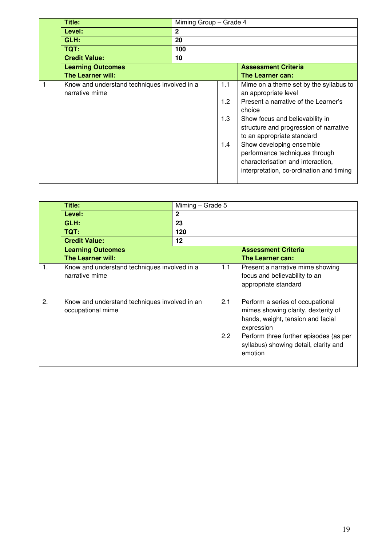| Title:                                                         | Miming Group - Grade 4 |                          |                                                                                                                                                                                                                                                                                                                                                                            |  |
|----------------------------------------------------------------|------------------------|--------------------------|----------------------------------------------------------------------------------------------------------------------------------------------------------------------------------------------------------------------------------------------------------------------------------------------------------------------------------------------------------------------------|--|
| Level:                                                         | $\mathbf{2}$           |                          |                                                                                                                                                                                                                                                                                                                                                                            |  |
| GLH:                                                           | 20                     |                          |                                                                                                                                                                                                                                                                                                                                                                            |  |
| <b>TQT:</b>                                                    | 100                    |                          |                                                                                                                                                                                                                                                                                                                                                                            |  |
| <b>Credit Value:</b>                                           | 10                     |                          |                                                                                                                                                                                                                                                                                                                                                                            |  |
| <b>Learning Outcomes</b>                                       |                        |                          | <b>Assessment Criteria</b>                                                                                                                                                                                                                                                                                                                                                 |  |
| <b>The Learner will:</b>                                       |                        |                          | The Learner can:                                                                                                                                                                                                                                                                                                                                                           |  |
| Know and understand techniques involved in a<br>narrative mime |                        | 1.1<br>1.2<br>1.3<br>1.4 | Mime on a theme set by the syllabus to<br>an appropriate level<br>Present a narrative of the Learner's<br>choice<br>Show focus and believability in<br>structure and progression of narrative<br>to an appropriate standard<br>Show developing ensemble<br>performance techniques through<br>characterisation and interaction,<br>interpretation, co-ordination and timing |  |

|                | Title:                                                         | Miming - Grade 5                              |     |                                                                                                                                                                                                                          |  |  |
|----------------|----------------------------------------------------------------|-----------------------------------------------|-----|--------------------------------------------------------------------------------------------------------------------------------------------------------------------------------------------------------------------------|--|--|
|                | Level:                                                         | $\mathbf{2}$                                  |     |                                                                                                                                                                                                                          |  |  |
|                | GLH:                                                           | 23                                            |     |                                                                                                                                                                                                                          |  |  |
|                | TQT:                                                           | 120                                           |     |                                                                                                                                                                                                                          |  |  |
|                | <b>Credit Value:</b>                                           | 12                                            |     |                                                                                                                                                                                                                          |  |  |
|                | <b>Learning Outcomes</b>                                       |                                               |     | <b>Assessment Criteria</b>                                                                                                                                                                                               |  |  |
|                | The Learner will:                                              |                                               |     | <b>The Learner can:</b>                                                                                                                                                                                                  |  |  |
| $\mathbf{1}$ . | Know and understand techniques involved in a<br>narrative mime |                                               | 1.1 | Present a narrative mime showing<br>focus and believability to an<br>appropriate standard                                                                                                                                |  |  |
| 2.             | occupational mime                                              | Know and understand techniques involved in an |     | Perform a series of occupational<br>mimes showing clarity, dexterity of<br>hands, weight, tension and facial<br>expression<br>Perform three further episodes (as per<br>syllabus) showing detail, clarity and<br>emotion |  |  |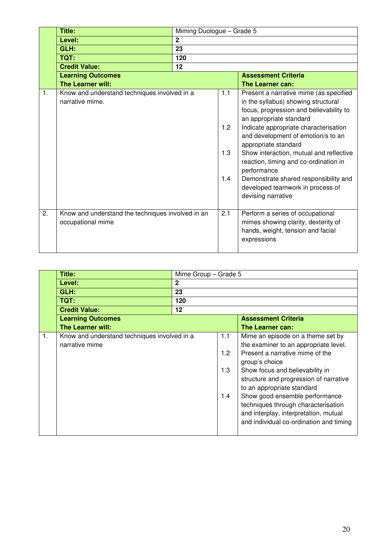|    | <b>Title:</b>                                                          | Miming Duologue - Grade 5 |                          |                                                                                                                                                                                                                                                                                                                                                                                                                                                                  |  |
|----|------------------------------------------------------------------------|---------------------------|--------------------------|------------------------------------------------------------------------------------------------------------------------------------------------------------------------------------------------------------------------------------------------------------------------------------------------------------------------------------------------------------------------------------------------------------------------------------------------------------------|--|
|    | Level:                                                                 | $\overline{2}$            |                          |                                                                                                                                                                                                                                                                                                                                                                                                                                                                  |  |
|    | GLH:                                                                   | 23                        |                          |                                                                                                                                                                                                                                                                                                                                                                                                                                                                  |  |
|    | <b>TQT:</b>                                                            | 120                       |                          |                                                                                                                                                                                                                                                                                                                                                                                                                                                                  |  |
|    | <b>Credit Value:</b>                                                   | 12                        |                          |                                                                                                                                                                                                                                                                                                                                                                                                                                                                  |  |
|    | <b>Learning Outcomes</b>                                               |                           |                          | <b>Assessment Criteria</b>                                                                                                                                                                                                                                                                                                                                                                                                                                       |  |
|    | The Learner will:                                                      |                           |                          | The Learner can:                                                                                                                                                                                                                                                                                                                                                                                                                                                 |  |
| 1. | Know and understand techniques involved in a<br>narrative mime.        |                           | 1.1<br>1.2<br>1.3<br>1.4 | Present a narrative mime (as specified<br>in the syllabus) showing structural<br>focus, progression and believability to<br>an appropriate standard<br>Indicate appropriate characterisation<br>and development of emotion/s to an<br>appropriate standard<br>Show interaction, mutual and reflective<br>reaction, timing and co-ordination in<br>performance<br>Demonstrate shared responsibility and<br>developed teamwork in process of<br>devising narrative |  |
| 2. | Know and understand the techniques involved in an<br>occupational mime |                           | 2.1                      | Perform a series of occupational<br>mimes showing clarity, dexterity of<br>hands, weight, tension and facial<br>expressions                                                                                                                                                                                                                                                                                                                                      |  |

|    | Title:                                                         |              | Mime Group - Grade 5                  |                                                                                                                                                                                                                                                                                                                                                                                                         |  |  |
|----|----------------------------------------------------------------|--------------|---------------------------------------|---------------------------------------------------------------------------------------------------------------------------------------------------------------------------------------------------------------------------------------------------------------------------------------------------------------------------------------------------------------------------------------------------------|--|--|
|    | Level:                                                         | $\mathbf{2}$ |                                       |                                                                                                                                                                                                                                                                                                                                                                                                         |  |  |
|    | GLH:                                                           | 23           |                                       |                                                                                                                                                                                                                                                                                                                                                                                                         |  |  |
|    | TQT:                                                           | 120          |                                       |                                                                                                                                                                                                                                                                                                                                                                                                         |  |  |
|    | <b>Credit Value:</b>                                           | 12           |                                       |                                                                                                                                                                                                                                                                                                                                                                                                         |  |  |
|    | <b>Learning Outcomes</b>                                       |              |                                       | <b>Assessment Criteria</b>                                                                                                                                                                                                                                                                                                                                                                              |  |  |
|    | <b>The Learner will:</b>                                       |              |                                       | The Learner can:                                                                                                                                                                                                                                                                                                                                                                                        |  |  |
| 1. | Know and understand techniques involved in a<br>narrative mime |              | 1.1<br>1.2 <sub>2</sub><br>1.3<br>1.4 | Mime an episode on a theme set by<br>the examiner to an appropriate level.<br>Present a narrative mime of the<br>group's choice<br>Show focus and believability in<br>structure and progression of narrative<br>to an appropriate standard<br>Show good ensemble performance<br>techniques through characterisation<br>and interplay, interpretation, mutual<br>and individual co-ordination and timing |  |  |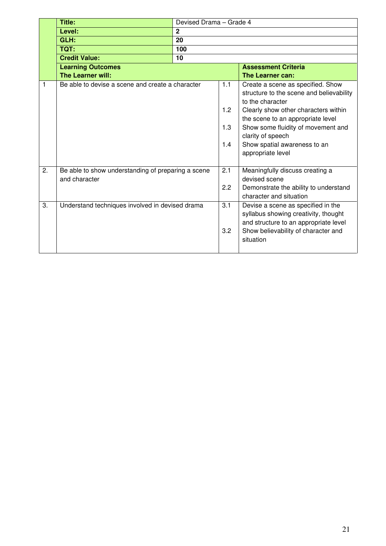|    | Title:                                                              | Devised Drama - Grade 4 |                          |                                                                                                                                                                                                                                                                                                |  |
|----|---------------------------------------------------------------------|-------------------------|--------------------------|------------------------------------------------------------------------------------------------------------------------------------------------------------------------------------------------------------------------------------------------------------------------------------------------|--|
|    | Level:                                                              | $\mathbf{2}$            |                          |                                                                                                                                                                                                                                                                                                |  |
|    | GLH:                                                                | 20                      |                          |                                                                                                                                                                                                                                                                                                |  |
|    | TQT:                                                                | 100                     |                          |                                                                                                                                                                                                                                                                                                |  |
|    | <b>Credit Value:</b>                                                | 10                      |                          |                                                                                                                                                                                                                                                                                                |  |
|    | <b>Learning Outcomes</b>                                            |                         |                          | <b>Assessment Criteria</b>                                                                                                                                                                                                                                                                     |  |
|    | <b>The Learner will:</b>                                            |                         |                          | The Learner can:                                                                                                                                                                                                                                                                               |  |
| 1  | Be able to devise a scene and create a character                    |                         | 1.1<br>1.2<br>1.3<br>1.4 | Create a scene as specified. Show<br>structure to the scene and believability<br>to the character<br>Clearly show other characters within<br>the scene to an appropriate level<br>Show some fluidity of movement and<br>clarity of speech<br>Show spatial awareness to an<br>appropriate level |  |
| 2. | Be able to show understanding of preparing a scene<br>and character |                         | 2.1<br>2.2               | Meaningfully discuss creating a<br>devised scene<br>Demonstrate the ability to understand<br>character and situation                                                                                                                                                                           |  |
| 3. | Understand techniques involved in devised drama                     |                         | 3.1<br>3.2               | Devise a scene as specified in the<br>syllabus showing creativity, thought<br>and structure to an appropriate level<br>Show believability of character and<br>situation                                                                                                                        |  |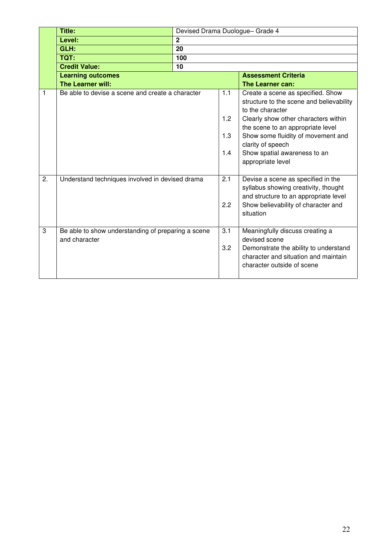|                  | Title:                                                              | Devised Drama Duologue- Grade 4 |                          |                                                                                                                                                                                                                                                                                                |
|------------------|---------------------------------------------------------------------|---------------------------------|--------------------------|------------------------------------------------------------------------------------------------------------------------------------------------------------------------------------------------------------------------------------------------------------------------------------------------|
|                  | Level:                                                              | $\mathbf{2}$                    |                          |                                                                                                                                                                                                                                                                                                |
|                  | GLH:                                                                | $\overline{20}$                 |                          |                                                                                                                                                                                                                                                                                                |
|                  | TQT:                                                                | 100                             |                          |                                                                                                                                                                                                                                                                                                |
|                  | <b>Credit Value:</b>                                                | 10                              |                          |                                                                                                                                                                                                                                                                                                |
|                  | <b>Learning outcomes</b>                                            |                                 |                          | <b>Assessment Criteria</b>                                                                                                                                                                                                                                                                     |
|                  | The Learner will:                                                   |                                 |                          | The Learner can:                                                                                                                                                                                                                                                                               |
| 1                | Be able to devise a scene and create a character                    |                                 | 1.1<br>1.2<br>1.3<br>1.4 | Create a scene as specified. Show<br>structure to the scene and believability<br>to the character<br>Clearly show other characters within<br>the scene to an appropriate level<br>Show some fluidity of movement and<br>clarity of speech<br>Show spatial awareness to an<br>appropriate level |
| $\overline{2}$ . | Understand techniques involved in devised drama                     |                                 | 2.1<br>2.2               | Devise a scene as specified in the<br>syllabus showing creativity, thought<br>and structure to an appropriate level<br>Show believability of character and<br>situation                                                                                                                        |
| 3                | Be able to show understanding of preparing a scene<br>and character |                                 | 3.1<br>3.2               | Meaningfully discuss creating a<br>devised scene<br>Demonstrate the ability to understand<br>character and situation and maintain<br>character outside of scene                                                                                                                                |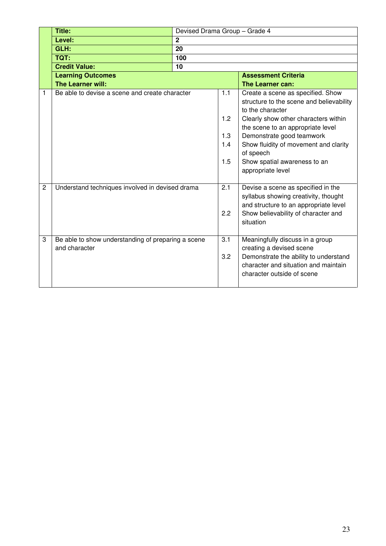|                | <b>Title:</b>                                                       | Devised Drama Group - Grade 4 |                                 |                                                                                                                                                                                                                                                                                                                        |  |  |
|----------------|---------------------------------------------------------------------|-------------------------------|---------------------------------|------------------------------------------------------------------------------------------------------------------------------------------------------------------------------------------------------------------------------------------------------------------------------------------------------------------------|--|--|
|                | Level:                                                              | $\mathbf{2}$                  |                                 |                                                                                                                                                                                                                                                                                                                        |  |  |
|                | GLH:                                                                | $\overline{20}$               |                                 |                                                                                                                                                                                                                                                                                                                        |  |  |
|                | TQT:                                                                | 100                           |                                 |                                                                                                                                                                                                                                                                                                                        |  |  |
|                | <b>Credit Value:</b>                                                | 10                            |                                 |                                                                                                                                                                                                                                                                                                                        |  |  |
|                | <b>Learning Outcomes</b>                                            |                               |                                 | <b>Assessment Criteria</b>                                                                                                                                                                                                                                                                                             |  |  |
|                | The Learner will:                                                   |                               |                                 | The Learner can:                                                                                                                                                                                                                                                                                                       |  |  |
|                | Be able to devise a scene and create character                      |                               | 1.1<br>1.2<br>1.3<br>1.4<br>1.5 | Create a scene as specified. Show<br>structure to the scene and believability<br>to the character<br>Clearly show other characters within<br>the scene to an appropriate level<br>Demonstrate good teamwork<br>Show fluidity of movement and clarity<br>of speech<br>Show spatial awareness to an<br>appropriate level |  |  |
| $\overline{c}$ | Understand techniques involved in devised drama                     |                               | 2.1<br>2.2                      | Devise a scene as specified in the<br>syllabus showing creativity, thought<br>and structure to an appropriate level<br>Show believability of character and<br>situation                                                                                                                                                |  |  |
| 3              | Be able to show understanding of preparing a scene<br>and character |                               | 3.1<br>3.2                      | Meaningfully discuss in a group<br>creating a devised scene<br>Demonstrate the ability to understand<br>character and situation and maintain<br>character outside of scene                                                                                                                                             |  |  |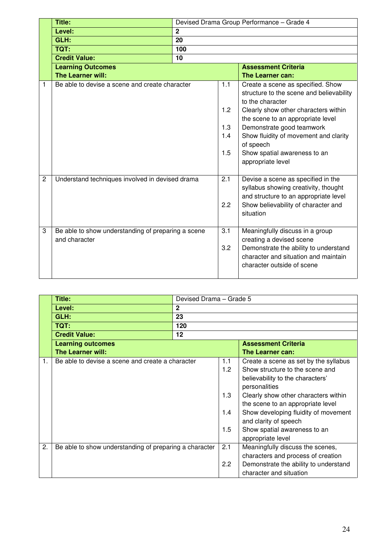|              | Title:                                                              | Devised Drama Group Performance - Grade 4 |                                 |                                                                                                                                                                                                                                                                                                                        |  |
|--------------|---------------------------------------------------------------------|-------------------------------------------|---------------------------------|------------------------------------------------------------------------------------------------------------------------------------------------------------------------------------------------------------------------------------------------------------------------------------------------------------------------|--|
|              | Level:                                                              | $\overline{2}$                            |                                 |                                                                                                                                                                                                                                                                                                                        |  |
|              | GLH:                                                                | 20                                        |                                 |                                                                                                                                                                                                                                                                                                                        |  |
|              | TQT:                                                                | 100                                       |                                 |                                                                                                                                                                                                                                                                                                                        |  |
|              | <b>Credit Value:</b>                                                | 10                                        |                                 |                                                                                                                                                                                                                                                                                                                        |  |
|              | <b>Learning Outcomes</b>                                            |                                           |                                 | <b>Assessment Criteria</b>                                                                                                                                                                                                                                                                                             |  |
|              | The Learner will:                                                   |                                           |                                 | The Learner can:                                                                                                                                                                                                                                                                                                       |  |
| 1            | Be able to devise a scene and create character                      |                                           | 1.1<br>1.2<br>1.3<br>1.4<br>1.5 | Create a scene as specified. Show<br>structure to the scene and believability<br>to the character<br>Clearly show other characters within<br>the scene to an appropriate level<br>Demonstrate good teamwork<br>Show fluidity of movement and clarity<br>of speech<br>Show spatial awareness to an<br>appropriate level |  |
| $\mathbf{2}$ | Understand techniques involved in devised drama                     |                                           | 2.1<br>2.2                      | Devise a scene as specified in the<br>syllabus showing creativity, thought<br>and structure to an appropriate level<br>Show believability of character and<br>situation                                                                                                                                                |  |
| 3            | Be able to show understanding of preparing a scene<br>and character |                                           | 3.1<br>3.2                      | Meaningfully discuss in a group<br>creating a devised scene<br>Demonstrate the ability to understand<br>character and situation and maintain<br>character outside of scene                                                                                                                                             |  |

|    | Title:                                                 |              | Devised Drama - Grade 5 |                                       |  |
|----|--------------------------------------------------------|--------------|-------------------------|---------------------------------------|--|
|    | Level:                                                 | $\mathbf{2}$ |                         |                                       |  |
|    | GLH:                                                   | 23           |                         |                                       |  |
|    | <b>TQT:</b>                                            | 120          |                         |                                       |  |
|    | <b>Credit Value:</b>                                   | 12           |                         |                                       |  |
|    | <b>Learning outcomes</b>                               |              |                         | <b>Assessment Criteria</b>            |  |
|    | <b>The Learner will:</b>                               |              |                         | The Learner can:                      |  |
| 1. | Be able to devise a scene and create a character       |              | 1.1                     | Create a scene as set by the syllabus |  |
|    |                                                        |              | 1.2                     | Show structure to the scene and       |  |
|    |                                                        |              |                         | believability to the characters'      |  |
|    |                                                        |              |                         | personalities                         |  |
|    |                                                        |              | 1.3                     | Clearly show other characters within  |  |
|    |                                                        |              |                         | the scene to an appropriate level     |  |
|    |                                                        |              | 1.4                     | Show developing fluidity of movement  |  |
|    |                                                        |              |                         | and clarity of speech                 |  |
|    |                                                        |              | 1.5                     | Show spatial awareness to an          |  |
|    |                                                        |              |                         | appropriate level                     |  |
| 2. | Be able to show understanding of preparing a character |              | 2.1                     | Meaningfully discuss the scenes,      |  |
|    |                                                        |              |                         | characters and process of creation    |  |
|    |                                                        |              | 2.2                     | Demonstrate the ability to understand |  |
|    |                                                        |              |                         | character and situation               |  |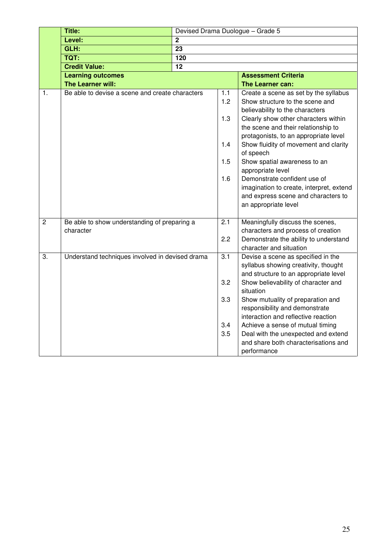|                  | Title:                                                    |             |                                              | Devised Drama Duologue - Grade 5                                                                                                                                                                                                                                                                                                                                                                                                                                                          |
|------------------|-----------------------------------------------------------|-------------|----------------------------------------------|-------------------------------------------------------------------------------------------------------------------------------------------------------------------------------------------------------------------------------------------------------------------------------------------------------------------------------------------------------------------------------------------------------------------------------------------------------------------------------------------|
|                  | Level:                                                    | $\mathbf 2$ |                                              |                                                                                                                                                                                                                                                                                                                                                                                                                                                                                           |
|                  | GLH:                                                      | 23          |                                              |                                                                                                                                                                                                                                                                                                                                                                                                                                                                                           |
|                  | <b>TQT:</b>                                               | 120         |                                              |                                                                                                                                                                                                                                                                                                                                                                                                                                                                                           |
|                  | <b>Credit Value:</b>                                      | 12          |                                              |                                                                                                                                                                                                                                                                                                                                                                                                                                                                                           |
|                  | <b>Learning outcomes</b>                                  |             |                                              | <b>Assessment Criteria</b>                                                                                                                                                                                                                                                                                                                                                                                                                                                                |
|                  | The Learner will:                                         |             |                                              | The Learner can:                                                                                                                                                                                                                                                                                                                                                                                                                                                                          |
| 1.               | Be able to devise a scene and create characters           |             | 1.1<br>1.2<br>1.3<br>1.4<br>1.5<br>1.6       | Create a scene as set by the syllabus<br>Show structure to the scene and<br>believability to the characters<br>Clearly show other characters within<br>the scene and their relationship to<br>protagonists, to an appropriate level<br>Show fluidity of movement and clarity<br>of speech<br>Show spatial awareness to an<br>appropriate level<br>Demonstrate confident use of<br>imagination to create, interpret, extend<br>and express scene and characters to<br>an appropriate level |
| $\overline{2}$   | Be able to show understanding of preparing a<br>character |             | 2.1<br>2.2                                   | Meaningfully discuss the scenes,<br>characters and process of creation<br>Demonstrate the ability to understand<br>character and situation                                                                                                                                                                                                                                                                                                                                                |
| $\overline{3}$ . | Understand techniques involved in devised drama           |             | $\overline{3.1}$<br>3.2<br>3.3<br>3.4<br>3.5 | Devise a scene as specified in the<br>syllabus showing creativity, thought<br>and structure to an appropriate level<br>Show believability of character and<br>situation<br>Show mutuality of preparation and<br>responsibility and demonstrate<br>interaction and reflective reaction<br>Achieve a sense of mutual timing<br>Deal with the unexpected and extend<br>and share both characterisations and<br>performance                                                                   |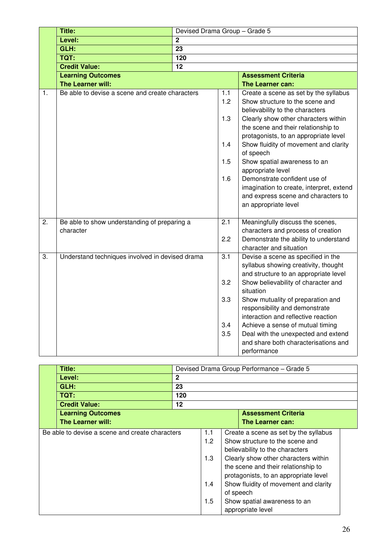|    | Title:                                                                  | Devised Drama Group - Grade 5 |                                        |                                                                                                                                                                                                                                                                                                                                                                                                                                                                                           |
|----|-------------------------------------------------------------------------|-------------------------------|----------------------------------------|-------------------------------------------------------------------------------------------------------------------------------------------------------------------------------------------------------------------------------------------------------------------------------------------------------------------------------------------------------------------------------------------------------------------------------------------------------------------------------------------|
|    | Level:                                                                  | $\boldsymbol{2}$              |                                        |                                                                                                                                                                                                                                                                                                                                                                                                                                                                                           |
|    | GLH:                                                                    | 23                            |                                        |                                                                                                                                                                                                                                                                                                                                                                                                                                                                                           |
|    | <b>TQT:</b>                                                             | 120                           |                                        |                                                                                                                                                                                                                                                                                                                                                                                                                                                                                           |
|    | <b>Credit Value:</b>                                                    | $\overline{12}$               |                                        |                                                                                                                                                                                                                                                                                                                                                                                                                                                                                           |
|    | <b>Learning Outcomes</b>                                                |                               |                                        | <b>Assessment Criteria</b>                                                                                                                                                                                                                                                                                                                                                                                                                                                                |
|    | The Learner will:                                                       |                               |                                        | The Learner can:                                                                                                                                                                                                                                                                                                                                                                                                                                                                          |
| 1. | Be able to devise a scene and create characters                         |                               | 1.1<br>1.2<br>1.3<br>1.4<br>1.5<br>1.6 | Create a scene as set by the syllabus<br>Show structure to the scene and<br>believability to the characters<br>Clearly show other characters within<br>the scene and their relationship to<br>protagonists, to an appropriate level<br>Show fluidity of movement and clarity<br>of speech<br>Show spatial awareness to an<br>appropriate level<br>Demonstrate confident use of<br>imagination to create, interpret, extend<br>and express scene and characters to<br>an appropriate level |
| 2. | Be able to show understanding of preparing a<br>2.1<br>character<br>2.2 |                               |                                        | Meaningfully discuss the scenes,<br>characters and process of creation<br>Demonstrate the ability to understand<br>character and situation                                                                                                                                                                                                                                                                                                                                                |
| 3. | Understand techniques involved in devised drama                         |                               | 3.1<br>3.2<br>3.3<br>3.4<br>3.5        | Devise a scene as specified in the<br>syllabus showing creativity, thought<br>and structure to an appropriate level<br>Show believability of character and<br>situation<br>Show mutuality of preparation and<br>responsibility and demonstrate<br>interaction and reflective reaction<br>Achieve a sense of mutual timing<br>Deal with the unexpected and extend<br>and share both characterisations and<br>performance                                                                   |

| Title:                                          |              |                                 | Devised Drama Group Performance - Grade 5                                                                                                                                                                                                                                                                                 |  |
|-------------------------------------------------|--------------|---------------------------------|---------------------------------------------------------------------------------------------------------------------------------------------------------------------------------------------------------------------------------------------------------------------------------------------------------------------------|--|
| Level:                                          | $\mathbf{2}$ |                                 |                                                                                                                                                                                                                                                                                                                           |  |
| GLH:                                            | 23           |                                 |                                                                                                                                                                                                                                                                                                                           |  |
| TQT:                                            | 120          |                                 |                                                                                                                                                                                                                                                                                                                           |  |
| <b>Credit Value:</b>                            | 12           |                                 |                                                                                                                                                                                                                                                                                                                           |  |
| <b>Learning Outcomes</b>                        |              |                                 | <b>Assessment Criteria</b>                                                                                                                                                                                                                                                                                                |  |
| <b>The Learner will:</b>                        |              |                                 | <b>The Learner can:</b>                                                                                                                                                                                                                                                                                                   |  |
| Be able to devise a scene and create characters |              | 1.1<br>1.2<br>1.3<br>1.4<br>1.5 | Create a scene as set by the syllabus<br>Show structure to the scene and<br>believability to the characters<br>Clearly show other characters within<br>the scene and their relationship to<br>protagonists, to an appropriate level<br>Show fluidity of movement and clarity<br>of speech<br>Show spatial awareness to an |  |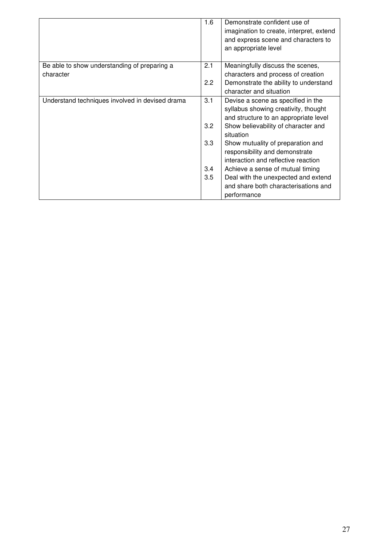|                                                 | 1.6 | Demonstrate confident use of             |
|-------------------------------------------------|-----|------------------------------------------|
|                                                 |     | imagination to create, interpret, extend |
|                                                 |     | and express scene and characters to      |
|                                                 |     | an appropriate level                     |
|                                                 |     |                                          |
| Be able to show understanding of preparing a    | 2.1 | Meaningfully discuss the scenes,         |
| character                                       |     | characters and process of creation       |
|                                                 | 2.2 | Demonstrate the ability to understand    |
|                                                 |     | character and situation                  |
| Understand techniques involved in devised drama | 3.1 | Devise a scene as specified in the       |
|                                                 |     | syllabus showing creativity, thought     |
|                                                 |     | and structure to an appropriate level    |
|                                                 | 3.2 | Show believability of character and      |
|                                                 |     | situation                                |
|                                                 | 3.3 | Show mutuality of preparation and        |
|                                                 |     | responsibility and demonstrate           |
|                                                 |     | interaction and reflective reaction      |
|                                                 | 3.4 | Achieve a sense of mutual timing         |
|                                                 | 3.5 | Deal with the unexpected and extend      |
|                                                 |     | and share both characterisations and     |
|                                                 |     | performance                              |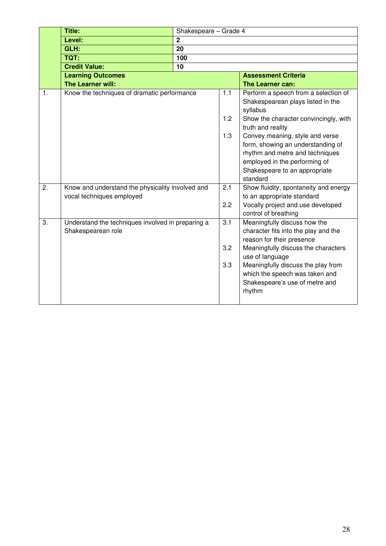|                | Title:                                                                        | Shakespeare - Grade 4 |                   |                                                                                                                                                                                                                                                                                                 |
|----------------|-------------------------------------------------------------------------------|-----------------------|-------------------|-------------------------------------------------------------------------------------------------------------------------------------------------------------------------------------------------------------------------------------------------------------------------------------------------|
|                | Level:                                                                        | $\mathbf 2$           |                   |                                                                                                                                                                                                                                                                                                 |
|                | GLH:                                                                          | 20                    |                   |                                                                                                                                                                                                                                                                                                 |
|                | <b>TQT:</b>                                                                   | 100                   |                   |                                                                                                                                                                                                                                                                                                 |
|                | <b>Credit Value:</b>                                                          | 10                    |                   |                                                                                                                                                                                                                                                                                                 |
|                | <b>Learning Outcomes</b>                                                      |                       |                   | <b>Assessment Criteria</b>                                                                                                                                                                                                                                                                      |
|                | The Learner will:                                                             |                       |                   | The Learner can:                                                                                                                                                                                                                                                                                |
| $\mathbf{1}$ . | Know the techniques of dramatic performance                                   |                       | 1.1<br>1.2<br>1.3 | Perform a speech from a selection of<br>Shakespearean plays listed in the<br>syllabus<br>Show the character convincingly, with<br>truth and reality<br>Convey meaning, style and verse<br>form, showing an understanding of<br>rhythm and metre and techniques<br>employed in the performing of |
|                |                                                                               |                       |                   | Shakespeare to an appropriate<br>standard                                                                                                                                                                                                                                                       |
| 2.             | Know and understand the physicality involved and<br>vocal techniques employed |                       | 2.1<br>2.2        | Show fluidity, spontaneity and energy<br>to an appropriate standard<br>Vocally project and use developed<br>control of breathing                                                                                                                                                                |
| 3.             | Understand the techniques involved in preparing a<br>Shakespearean role       |                       | 3.1<br>3.2<br>3.3 | Meaningfully discuss how the<br>character fits into the play and the<br>reason for their presence<br>Meaningfully discuss the characters<br>use of language<br>Meaningfully discuss the play from                                                                                               |
|                |                                                                               |                       |                   | which the speech was taken and<br>Shakespeare's use of metre and<br>rhythm                                                                                                                                                                                                                      |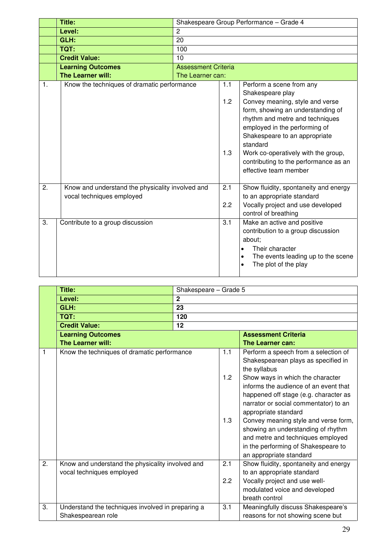|                | <b>Title:</b>                                                                 |                            |                   | Shakespeare Group Performance - Grade 4                                                                                                                                                                                                                                                                                                        |  |
|----------------|-------------------------------------------------------------------------------|----------------------------|-------------------|------------------------------------------------------------------------------------------------------------------------------------------------------------------------------------------------------------------------------------------------------------------------------------------------------------------------------------------------|--|
|                | Level:                                                                        | $\overline{c}$             |                   |                                                                                                                                                                                                                                                                                                                                                |  |
|                | GLH:                                                                          | 20                         |                   |                                                                                                                                                                                                                                                                                                                                                |  |
|                | TQT:                                                                          | 100                        |                   |                                                                                                                                                                                                                                                                                                                                                |  |
|                | <b>Credit Value:</b>                                                          | 10                         |                   |                                                                                                                                                                                                                                                                                                                                                |  |
|                | <b>Learning Outcomes</b>                                                      | <b>Assessment Criteria</b> |                   |                                                                                                                                                                                                                                                                                                                                                |  |
|                | The Learner will:                                                             | The Learner can:           |                   |                                                                                                                                                                                                                                                                                                                                                |  |
| $\mathbf{1}$ . | Know the techniques of dramatic performance                                   |                            | 1.1<br>1.2<br>1.3 | Perform a scene from any<br>Shakespeare play<br>Convey meaning, style and verse<br>form, showing an understanding of<br>rhythm and metre and techniques<br>employed in the performing of<br>Shakespeare to an appropriate<br>standard<br>Work co-operatively with the group,<br>contributing to the performance as an<br>effective team member |  |
| 2.             | Know and understand the physicality involved and<br>vocal techniques employed |                            | 2.1<br>2.2        | Show fluidity, spontaneity and energy<br>to an appropriate standard<br>Vocally project and use developed<br>control of breathing                                                                                                                                                                                                               |  |
| 3.             | Contribute to a group discussion                                              |                            | 3.1               | Make an active and positive<br>contribution to a group discussion<br>about;<br>Their character<br>The events leading up to the scene<br>The plot of the play                                                                                                                                                                                   |  |

|                  | Title:                                                                        | Shakespeare - Grade 5 |                   |                                                                                                                                                                                                                                                                                                                                                                                                                                                                         |
|------------------|-------------------------------------------------------------------------------|-----------------------|-------------------|-------------------------------------------------------------------------------------------------------------------------------------------------------------------------------------------------------------------------------------------------------------------------------------------------------------------------------------------------------------------------------------------------------------------------------------------------------------------------|
|                  | Level:                                                                        | $\overline{2}$        |                   |                                                                                                                                                                                                                                                                                                                                                                                                                                                                         |
|                  | GLH:                                                                          | 23                    |                   |                                                                                                                                                                                                                                                                                                                                                                                                                                                                         |
|                  | TQT:                                                                          | 120                   |                   |                                                                                                                                                                                                                                                                                                                                                                                                                                                                         |
|                  | <b>Credit Value:</b>                                                          | 12                    |                   |                                                                                                                                                                                                                                                                                                                                                                                                                                                                         |
|                  | <b>Learning Outcomes</b>                                                      |                       |                   | <b>Assessment Criteria</b>                                                                                                                                                                                                                                                                                                                                                                                                                                              |
|                  | <b>The Learner will:</b>                                                      |                       |                   | The Learner can:                                                                                                                                                                                                                                                                                                                                                                                                                                                        |
| 1                | Know the techniques of dramatic performance                                   |                       | 1.1<br>1.2<br>1.3 | Perform a speech from a selection of<br>Shakespearean plays as specified in<br>the syllabus<br>Show ways in which the character<br>informs the audience of an event that<br>happened off stage (e.g. character as<br>narrator or social commentator) to an<br>appropriate standard<br>Convey meaning style and verse form,<br>showing an understanding of rhythm<br>and metre and techniques employed<br>in the performing of Shakespeare to<br>an appropriate standard |
| $\overline{2}$ . | Know and understand the physicality involved and<br>vocal techniques employed |                       | 2.1<br>2.2        | Show fluidity, spontaneity and energy<br>to an appropriate standard<br>Vocally project and use well-<br>modulated voice and developed<br>breath control                                                                                                                                                                                                                                                                                                                 |
| 3.               | Understand the techniques involved in preparing a<br>Shakespearean role       |                       | 3.1               | Meaningfully discuss Shakespeare's<br>reasons for not showing scene but                                                                                                                                                                                                                                                                                                                                                                                                 |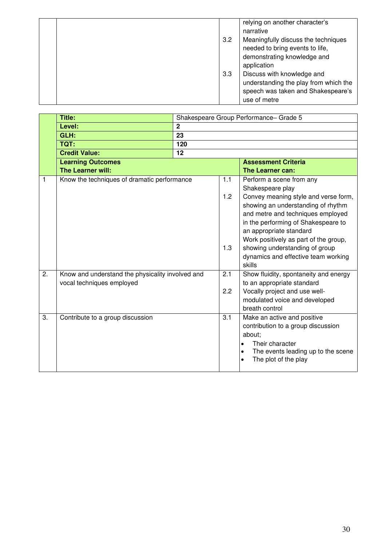|  | 3.2 | relying on another character's<br>narrative<br>Meaningfully discuss the techniques<br>needed to bring events to life,<br>demonstrating knowledge and<br>application |
|--|-----|---------------------------------------------------------------------------------------------------------------------------------------------------------------------|
|  | 3.3 | Discuss with knowledge and<br>understanding the play from which the<br>speech was taken and Shakespeare's<br>use of metre                                           |

|    | <b>Title:</b>                                                                 |                |                   | Shakespeare Group Performance- Grade 5                                                                                                                                                                                                                                                                                                                        |  |
|----|-------------------------------------------------------------------------------|----------------|-------------------|---------------------------------------------------------------------------------------------------------------------------------------------------------------------------------------------------------------------------------------------------------------------------------------------------------------------------------------------------------------|--|
|    | Level:                                                                        | $\overline{2}$ |                   |                                                                                                                                                                                                                                                                                                                                                               |  |
|    | GLH:                                                                          | 23             |                   |                                                                                                                                                                                                                                                                                                                                                               |  |
|    | <b>TQT:</b>                                                                   | 120            |                   |                                                                                                                                                                                                                                                                                                                                                               |  |
|    | <b>Credit Value:</b>                                                          | 12             |                   |                                                                                                                                                                                                                                                                                                                                                               |  |
|    | <b>Learning Outcomes</b>                                                      |                |                   | <b>Assessment Criteria</b>                                                                                                                                                                                                                                                                                                                                    |  |
|    | <b>The Learner will:</b>                                                      |                |                   | The Learner can:                                                                                                                                                                                                                                                                                                                                              |  |
| 1  | Know the techniques of dramatic performance                                   |                | 1.1<br>1.2<br>1.3 | Perform a scene from any<br>Shakespeare play<br>Convey meaning style and verse form,<br>showing an understanding of rhythm<br>and metre and techniques employed<br>in the performing of Shakespeare to<br>an appropriate standard<br>Work positively as part of the group,<br>showing understanding of group<br>dynamics and effective team working<br>skills |  |
| 2. | Know and understand the physicality involved and<br>vocal techniques employed |                | 2.1<br>2.2        | Show fluidity, spontaneity and energy<br>to an appropriate standard<br>Vocally project and use well-<br>modulated voice and developed<br>breath control                                                                                                                                                                                                       |  |
| 3. | Contribute to a group discussion                                              |                | 3.1               | Make an active and positive<br>contribution to a group discussion<br>about;<br>Their character<br>The events leading up to the scene<br>$\bullet$<br>The plot of the play                                                                                                                                                                                     |  |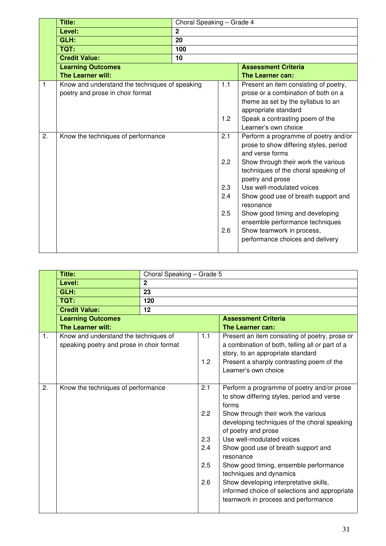|    | <b>Title:</b>                                  | Choral Speaking - Grade 4 |               |                                                  |
|----|------------------------------------------------|---------------------------|---------------|--------------------------------------------------|
|    | Level:                                         | $\mathbf{2}$              |               |                                                  |
|    | GLH:                                           | 20                        |               |                                                  |
|    | TQT:                                           | 100                       |               |                                                  |
|    | <b>Credit Value:</b>                           | 10                        |               |                                                  |
|    | <b>Learning Outcomes</b>                       |                           |               | <b>Assessment Criteria</b>                       |
|    | <b>The Learner will:</b>                       |                           |               | The Learner can:                                 |
| 1  | Know and understand the techniques of speaking |                           | 1.1           | Present an item consisting of poetry,            |
|    | poetry and prose in choir format               |                           |               | prose or a combination of both on a              |
|    |                                                |                           |               | theme as set by the syllabus to an               |
|    |                                                |                           |               | appropriate standard                             |
|    |                                                |                           | 1.2           | Speak a contrasting poem of the                  |
|    |                                                |                           |               | Learner's own choice                             |
| 2. | Know the techniques of performance             |                           | 2.1           | Perform a programme of poetry and/or             |
|    |                                                |                           |               | prose to show differing styles, period           |
|    |                                                |                           |               | and verse forms                                  |
|    |                                                |                           | $2.2^{\circ}$ | Show through their work the various              |
|    |                                                |                           |               | techniques of the choral speaking of             |
|    |                                                |                           |               | poetry and prose                                 |
|    |                                                |                           | 2.3           | Use well-modulated voices                        |
|    |                                                |                           | 2.4           | Show good use of breath support and<br>resonance |
|    |                                                |                           | 2.5           | Show good timing and developing                  |
|    |                                                |                           |               | ensemble performance techniques                  |
|    |                                                |                           | 2.6           | Show teamwork in process,                        |
|    |                                                |                           |               | performance choices and delivery                 |
|    |                                                |                           |               |                                                  |

|    | Title:                                                                             | Choral Speaking - Grade 5 |                                        |                                                                                                                                                                                                                                                                                                                                                                                                                                                                                                         |  |  |  |  |
|----|------------------------------------------------------------------------------------|---------------------------|----------------------------------------|---------------------------------------------------------------------------------------------------------------------------------------------------------------------------------------------------------------------------------------------------------------------------------------------------------------------------------------------------------------------------------------------------------------------------------------------------------------------------------------------------------|--|--|--|--|
|    | Level:                                                                             | $\overline{2}$            |                                        |                                                                                                                                                                                                                                                                                                                                                                                                                                                                                                         |  |  |  |  |
|    | GLH:                                                                               | 23                        |                                        |                                                                                                                                                                                                                                                                                                                                                                                                                                                                                                         |  |  |  |  |
|    | TQT:                                                                               | 120                       |                                        |                                                                                                                                                                                                                                                                                                                                                                                                                                                                                                         |  |  |  |  |
|    | <b>Credit Value:</b>                                                               | 12                        |                                        |                                                                                                                                                                                                                                                                                                                                                                                                                                                                                                         |  |  |  |  |
|    | <b>Learning Outcomes</b>                                                           |                           |                                        | <b>Assessment Criteria</b>                                                                                                                                                                                                                                                                                                                                                                                                                                                                              |  |  |  |  |
|    | The Learner will:                                                                  |                           |                                        | The Learner can:                                                                                                                                                                                                                                                                                                                                                                                                                                                                                        |  |  |  |  |
| 1. | Know and understand the techniques of<br>speaking poetry and prose in choir format |                           | 1.1<br>1.2                             | Present an item consisting of poetry, prose or<br>a combination of both, telling all or part of a<br>story, to an appropriate standard<br>Present a sharply contrasting poem of the<br>Learner's own choice                                                                                                                                                                                                                                                                                             |  |  |  |  |
| 2. | Know the techniques of performance                                                 |                           | 2.1<br>2.2<br>2.3<br>2.4<br>2.5<br>2.6 | Perform a programme of poetry and/or prose<br>to show differing styles, period and verse<br>forms<br>Show through their work the various<br>developing techniques of the choral speaking<br>of poetry and prose<br>Use well-modulated voices<br>Show good use of breath support and<br>resonance<br>Show good timing, ensemble performance<br>techniques and dynamics<br>Show developing interpretative skills,<br>informed choice of selections and appropriate<br>teamwork in process and performance |  |  |  |  |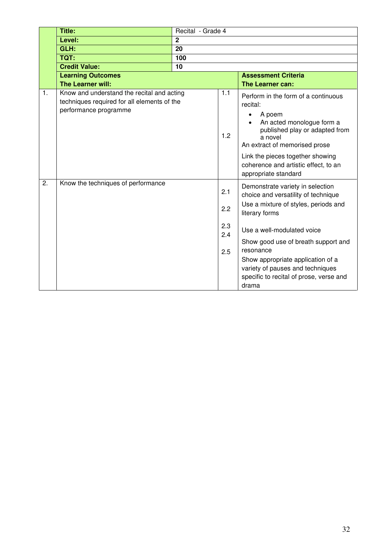|                | Title:                                                                                                             | Recital - Grade 4 |                                 |                                                                                                                                                                                                                                                                                                                                                                          |
|----------------|--------------------------------------------------------------------------------------------------------------------|-------------------|---------------------------------|--------------------------------------------------------------------------------------------------------------------------------------------------------------------------------------------------------------------------------------------------------------------------------------------------------------------------------------------------------------------------|
|                | Level:                                                                                                             | $\mathbf 2$       |                                 |                                                                                                                                                                                                                                                                                                                                                                          |
|                | GLH:                                                                                                               | 20                |                                 |                                                                                                                                                                                                                                                                                                                                                                          |
|                | TQT:                                                                                                               | 100               |                                 |                                                                                                                                                                                                                                                                                                                                                                          |
|                | <b>Credit Value:</b>                                                                                               | 10                |                                 |                                                                                                                                                                                                                                                                                                                                                                          |
|                | <b>Learning Outcomes</b>                                                                                           |                   |                                 | <b>Assessment Criteria</b>                                                                                                                                                                                                                                                                                                                                               |
|                | The Learner will:                                                                                                  |                   |                                 | The Learner can:                                                                                                                                                                                                                                                                                                                                                         |
| $\mathbf{1}$ . | Know and understand the recital and acting<br>techniques required for all elements of the<br>performance programme |                   | 1.1<br>1.2                      | Perform in the form of a continuous<br>recital:<br>A poem<br>An acted monologue form a<br>published play or adapted from<br>a novel<br>An extract of memorised prose<br>Link the pieces together showing<br>coherence and artistic effect, to an                                                                                                                         |
| 2.             | Know the techniques of performance                                                                                 |                   | 2.1<br>2.2<br>2.3<br>2.4<br>2.5 | appropriate standard<br>Demonstrate variety in selection<br>choice and versatility of technique<br>Use a mixture of styles, periods and<br>literary forms<br>Use a well-modulated voice<br>Show good use of breath support and<br>resonance<br>Show appropriate application of a<br>variety of pauses and techniques<br>specific to recital of prose, verse and<br>drama |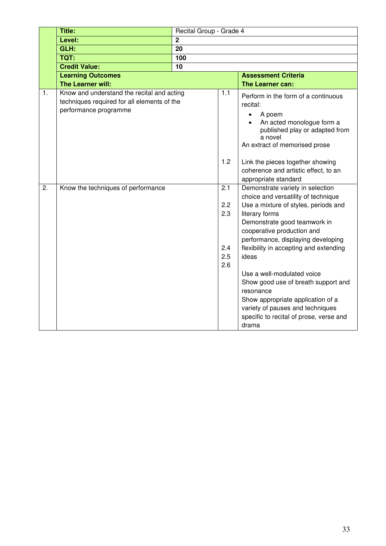|                  | Title:                                                                                                             | Recital Group - Grade 4 |                          |                                                                                                                                                                                                             |
|------------------|--------------------------------------------------------------------------------------------------------------------|-------------------------|--------------------------|-------------------------------------------------------------------------------------------------------------------------------------------------------------------------------------------------------------|
|                  | Level:                                                                                                             | $\overline{2}$          |                          |                                                                                                                                                                                                             |
|                  | GLH:                                                                                                               | $\overline{20}$         |                          |                                                                                                                                                                                                             |
|                  | <b>TQT:</b>                                                                                                        | 100                     |                          |                                                                                                                                                                                                             |
|                  | <b>Credit Value:</b>                                                                                               | 10                      |                          |                                                                                                                                                                                                             |
|                  | <b>Learning Outcomes</b>                                                                                           |                         |                          | <b>Assessment Criteria</b>                                                                                                                                                                                  |
|                  | The Learner will:                                                                                                  |                         |                          | The Learner can:                                                                                                                                                                                            |
| $\mathbf{1}$ .   | Know and understand the recital and acting<br>techniques required for all elements of the<br>performance programme |                         | 1.1                      | Perform in the form of a continuous<br>recital:<br>A poem<br>$\bullet$<br>An acted monologue form a<br>published play or adapted from<br>a novel<br>An extract of memorised prose                           |
|                  |                                                                                                                    |                         | 1.2                      | Link the pieces together showing<br>coherence and artistic effect, to an<br>appropriate standard                                                                                                            |
| $\overline{2}$ . | Know the techniques of performance                                                                                 |                         | $\overline{2.1}$         | Demonstrate variety in selection                                                                                                                                                                            |
|                  |                                                                                                                    |                         |                          | choice and versatility of technique                                                                                                                                                                         |
|                  |                                                                                                                    |                         | 2.2                      | Use a mixture of styles, periods and                                                                                                                                                                        |
|                  |                                                                                                                    |                         | 2.3<br>2.4<br>2.5<br>2.6 | literary forms<br>Demonstrate good teamwork in<br>cooperative production and<br>performance, displaying developing<br>flexibility in accepting and extending<br>ideas                                       |
|                  |                                                                                                                    |                         |                          | Use a well-modulated voice<br>Show good use of breath support and<br>resonance<br>Show appropriate application of a<br>variety of pauses and techniques<br>specific to recital of prose, verse and<br>drama |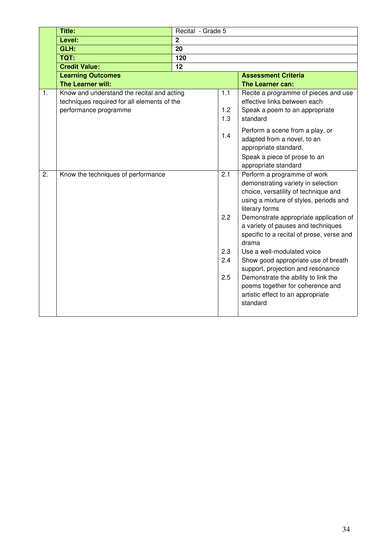|    | Title:                                                                                                             | Recital - Grade 5 |                                 |                                                                                                                                                                                                                                                                                                                                                                                                                                                                                                                                                   |
|----|--------------------------------------------------------------------------------------------------------------------|-------------------|---------------------------------|---------------------------------------------------------------------------------------------------------------------------------------------------------------------------------------------------------------------------------------------------------------------------------------------------------------------------------------------------------------------------------------------------------------------------------------------------------------------------------------------------------------------------------------------------|
|    | Level:                                                                                                             | $\overline{2}$    |                                 |                                                                                                                                                                                                                                                                                                                                                                                                                                                                                                                                                   |
|    | GLH:                                                                                                               | 20                |                                 |                                                                                                                                                                                                                                                                                                                                                                                                                                                                                                                                                   |
|    | <b>TQT:</b>                                                                                                        | 120               |                                 |                                                                                                                                                                                                                                                                                                                                                                                                                                                                                                                                                   |
|    | <b>Credit Value:</b>                                                                                               | 12                |                                 |                                                                                                                                                                                                                                                                                                                                                                                                                                                                                                                                                   |
|    | <b>Learning Outcomes</b>                                                                                           |                   |                                 | <b>Assessment Criteria</b>                                                                                                                                                                                                                                                                                                                                                                                                                                                                                                                        |
|    | The Learner will:                                                                                                  |                   |                                 | The Learner can:                                                                                                                                                                                                                                                                                                                                                                                                                                                                                                                                  |
| 1. | Know and understand the recital and acting<br>techniques required for all elements of the<br>performance programme |                   | 1.1<br>1.2<br>1.3               | Recite a programme of pieces and use<br>effective links between each<br>Speak a poem to an appropriate<br>standard                                                                                                                                                                                                                                                                                                                                                                                                                                |
|    |                                                                                                                    |                   | 1.4                             | Perform a scene from a play, or<br>adapted from a novel, to an<br>appropriate standard.<br>Speak a piece of prose to an<br>appropriate standard                                                                                                                                                                                                                                                                                                                                                                                                   |
| 2. | Know the techniques of performance                                                                                 |                   | 2.1<br>2.2<br>2.3<br>2.4<br>2.5 | Perform a programme of work<br>demonstrating variety in selection<br>choice, versatility of technique and<br>using a mixture of styles, periods and<br>literary forms<br>Demonstrate appropriate application of<br>a variety of pauses and techniques<br>specific to a recital of prose, verse and<br>drama<br>Use a well-modulated voice<br>Show good appropriate use of breath<br>support, projection and resonance<br>Demonstrate the ability to link the<br>poems together for coherence and<br>artistic effect to an appropriate<br>standard |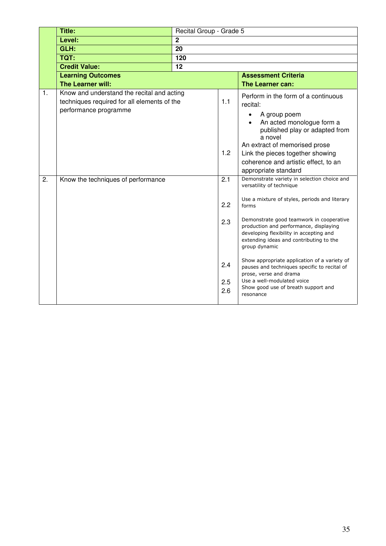|    | <b>Title:</b>                                                                                                      | Recital Group - Grade 5 |                   |                                                                                                                                                                                                          |
|----|--------------------------------------------------------------------------------------------------------------------|-------------------------|-------------------|----------------------------------------------------------------------------------------------------------------------------------------------------------------------------------------------------------|
|    | Level:                                                                                                             | $\mathbf 2$             |                   |                                                                                                                                                                                                          |
|    | GLH:                                                                                                               | $\overline{20}$         |                   |                                                                                                                                                                                                          |
|    | <b>TQT:</b>                                                                                                        | 120                     |                   |                                                                                                                                                                                                          |
|    | <b>Credit Value:</b>                                                                                               | 12                      |                   |                                                                                                                                                                                                          |
|    | <b>Learning Outcomes</b>                                                                                           |                         |                   | <b>Assessment Criteria</b>                                                                                                                                                                               |
|    | <b>The Learner will:</b>                                                                                           |                         |                   | The Learner can:                                                                                                                                                                                         |
| 1. | Know and understand the recital and acting<br>techniques required for all elements of the<br>performance programme |                         | 1.1               | Perform in the form of a continuous<br>recital:                                                                                                                                                          |
|    |                                                                                                                    |                         |                   | A group poem<br>An acted monologue form a<br>published play or adapted from<br>a novel<br>An extract of memorised prose                                                                                  |
|    |                                                                                                                    |                         | 1.2               | Link the pieces together showing                                                                                                                                                                         |
|    |                                                                                                                    |                         |                   | coherence and artistic effect, to an                                                                                                                                                                     |
|    |                                                                                                                    |                         |                   | appropriate standard                                                                                                                                                                                     |
| 2. | Know the techniques of performance                                                                                 |                         | 2.1               | Demonstrate variety in selection choice and<br>versatility of technique                                                                                                                                  |
|    |                                                                                                                    |                         | 2.2               | Use a mixture of styles, periods and literary<br>forms                                                                                                                                                   |
|    |                                                                                                                    |                         | 2.3               | Demonstrate good teamwork in cooperative<br>production and performance, displaying<br>developing flexibility in accepting and<br>extending ideas and contributing to the<br>group dynamic                |
|    |                                                                                                                    |                         | 2.4<br>2.5<br>2.6 | Show appropriate application of a variety of<br>pauses and techniques specific to recital of<br>prose, verse and drama<br>Use a well-modulated voice<br>Show good use of breath support and<br>resonance |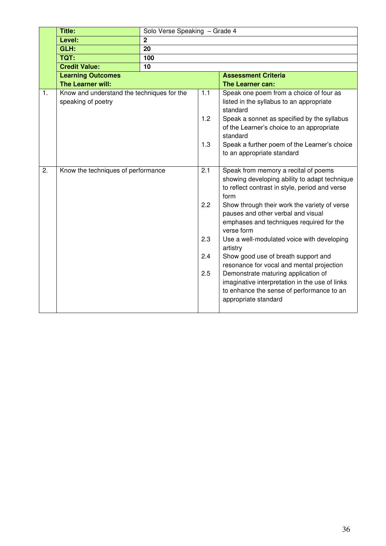|    | <b>Title:</b>                              | Solo Verse Speaking - Grade 4 |     |                                                                                          |  |  |
|----|--------------------------------------------|-------------------------------|-----|------------------------------------------------------------------------------------------|--|--|
|    | Level:                                     | $\overline{2}$                |     |                                                                                          |  |  |
|    | GLH:                                       | 20                            |     |                                                                                          |  |  |
|    | <b>TQT:</b>                                | 100                           |     |                                                                                          |  |  |
|    | <b>Credit Value:</b>                       | 10                            |     |                                                                                          |  |  |
|    | <b>Learning Outcomes</b>                   |                               |     | <b>Assessment Criteria</b>                                                               |  |  |
|    | The Learner will:                          |                               |     | The Learner can:                                                                         |  |  |
| 1. | Know and understand the techniques for the |                               | 1.1 | Speak one poem from a choice of four as                                                  |  |  |
|    | speaking of poetry                         |                               |     | listed in the syllabus to an appropriate                                                 |  |  |
|    |                                            |                               | 1.2 | standard                                                                                 |  |  |
|    |                                            |                               |     | Speak a sonnet as specified by the syllabus<br>of the Learner's choice to an appropriate |  |  |
|    |                                            |                               |     | standard                                                                                 |  |  |
|    |                                            |                               | 1.3 | Speak a further poem of the Learner's choice                                             |  |  |
|    |                                            |                               |     | to an appropriate standard                                                               |  |  |
|    |                                            |                               |     |                                                                                          |  |  |
| 2. | Know the techniques of performance         |                               | 2.1 | Speak from memory a recital of poems                                                     |  |  |
|    |                                            |                               |     | showing developing ability to adapt technique                                            |  |  |
|    |                                            |                               |     | to reflect contrast in style, period and verse                                           |  |  |
|    |                                            |                               |     | form                                                                                     |  |  |
|    |                                            |                               | 2.2 | Show through their work the variety of verse                                             |  |  |
|    |                                            |                               |     | pauses and other verbal and visual                                                       |  |  |
|    |                                            |                               |     | emphases and techniques required for the<br>verse form                                   |  |  |
|    |                                            |                               | 2.3 | Use a well-modulated voice with developing                                               |  |  |
|    |                                            |                               |     | artistry                                                                                 |  |  |
|    |                                            |                               | 2.4 | Show good use of breath support and                                                      |  |  |
|    |                                            |                               |     | resonance for vocal and mental projection                                                |  |  |
|    |                                            |                               | 2.5 | Demonstrate maturing application of                                                      |  |  |
|    |                                            |                               |     | imaginative interpretation in the use of links                                           |  |  |
|    |                                            |                               |     | to enhance the sense of performance to an                                                |  |  |
|    |                                            |                               |     | appropriate standard                                                                     |  |  |
|    |                                            |                               |     |                                                                                          |  |  |